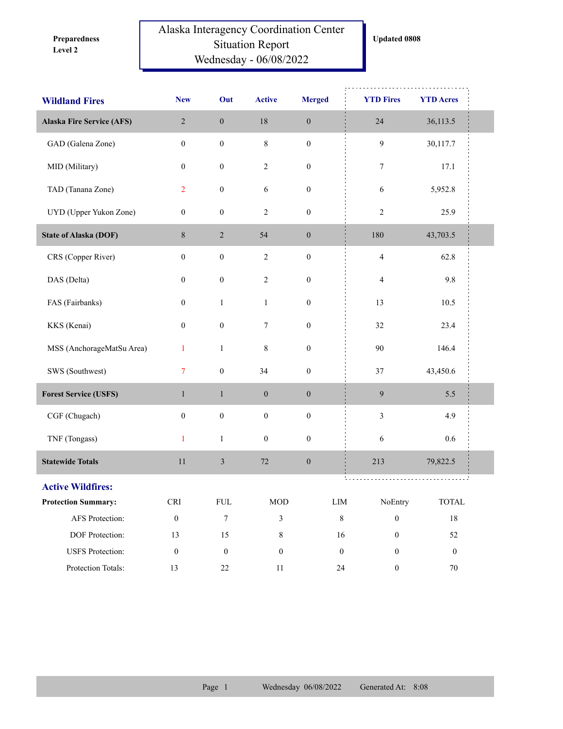**Level 2 Preparedness** 

## Alaska Interagency Coordination Center Situation Report Wednesday - 06/08/2022

| <b>Wildland Fires</b>            | <b>New</b>           | Out              | <b>Active</b>    | <b>Merged</b>    | <b>YTD Fires</b>        | <b>YTD Acres</b> |  |
|----------------------------------|----------------------|------------------|------------------|------------------|-------------------------|------------------|--|
| <b>Alaska Fire Service (AFS)</b> | $\overline{2}$       | $\boldsymbol{0}$ | $18\,$           | $\boldsymbol{0}$ | 24                      | 36,113.5         |  |
| GAD (Galena Zone)                | $\boldsymbol{0}$     | $\boldsymbol{0}$ | $\,8\,$          | $\boldsymbol{0}$ | 9                       | 30,117.7         |  |
| MID (Military)                   | $\boldsymbol{0}$     | $\boldsymbol{0}$ | $\sqrt{2}$       | $\boldsymbol{0}$ | 7                       | 17.1             |  |
| TAD (Tanana Zone)                | $\overline{2}$       | $\boldsymbol{0}$ | 6                | $\boldsymbol{0}$ | 6                       | 5,952.8          |  |
| UYD (Upper Yukon Zone)           | $\boldsymbol{0}$     | $\boldsymbol{0}$ | $\sqrt{2}$       | $\boldsymbol{0}$ | $\overline{c}$          | 25.9             |  |
| <b>State of Alaska (DOF)</b>     | $8\,$                | $\sqrt{2}$       | 54               | $\boldsymbol{0}$ | 180                     | 43,703.5         |  |
| CRS (Copper River)               | $\boldsymbol{0}$     | $\boldsymbol{0}$ | $\sqrt{2}$       | $\boldsymbol{0}$ | $\overline{\mathbf{4}}$ | 62.8             |  |
| DAS (Delta)                      | $\boldsymbol{0}$     | $\boldsymbol{0}$ | $\sqrt{2}$       | $\boldsymbol{0}$ | 4                       | 9.8              |  |
| FAS (Fairbanks)                  | $\boldsymbol{0}$     | $\mathbf{1}$     | $\mathbf{1}$     | $\boldsymbol{0}$ | 13                      | 10.5             |  |
| KKS (Kenai)                      | $\boldsymbol{0}$     | $\boldsymbol{0}$ | 7                | $\boldsymbol{0}$ | 32                      | 23.4             |  |
| MSS (AnchorageMatSu Area)        | $\mathbf{1}$         | $\mathbf{1}$     | $\,8\,$          | $\boldsymbol{0}$ | 90                      | 146.4            |  |
| SWS (Southwest)                  | $\overline{7}$       | $\boldsymbol{0}$ | 34               | $\boldsymbol{0}$ | $37\,$                  | 43,450.6         |  |
| <b>Forest Service (USFS)</b>     | $\mathbf{1}$         | $\mathbf{1}$     | $\boldsymbol{0}$ | $\boldsymbol{0}$ | 9                       | 5.5              |  |
| CGF (Chugach)                    | $\boldsymbol{0}$     | $\boldsymbol{0}$ | $\boldsymbol{0}$ | $\boldsymbol{0}$ | $\mathfrak{Z}$          | 4.9              |  |
| TNF (Tongass)                    | $\mathbf{1}$         | $\mathbf{1}$     | $\boldsymbol{0}$ | $\boldsymbol{0}$ | 6                       | 0.6              |  |
| <b>Statewide Totals</b>          | 11                   | $\mathfrak z$    | $72\,$           | $\boldsymbol{0}$ | 213                     | 79,822.5         |  |
| <b>Active Wildfires:</b>         |                      |                  |                  |                  |                         |                  |  |
| <b>Protection Summary:</b>       | $\operatorname{CRI}$ | ${\rm FUL}$      | $\rm MOD$        | ${\rm LIM}$      | NoEntry                 | <b>TOTAL</b>     |  |
| AFS Protection:                  | $\boldsymbol{0}$     | $\boldsymbol{7}$ | 3                | $8\,$            | $\boldsymbol{0}$        | $18\,$           |  |
| DOF Protection:                  | 13                   | 15               | $8\,$            | 16               | $\boldsymbol{0}$        | 52               |  |
| <b>USFS</b> Protection:          | $\boldsymbol{0}$     | $\boldsymbol{0}$ | $\boldsymbol{0}$ | $\boldsymbol{0}$ | $\boldsymbol{0}$        | $\mathbf{0}$     |  |
| Protection Totals:               | 13                   | $22\,$           | $11\,$           | $24\,$           | $\boldsymbol{0}$        | $70\,$           |  |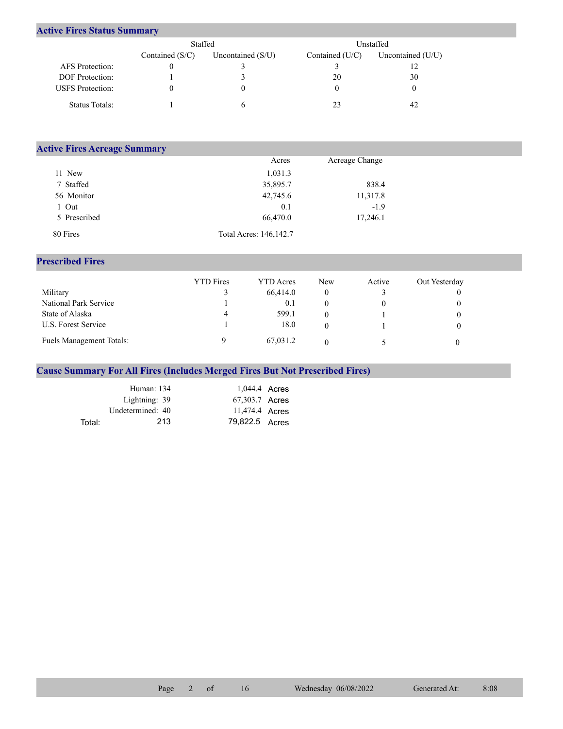## **Active Fires Status Summary**

|                         | Staffed           |                     | Unstaffed       |                   |  |  |
|-------------------------|-------------------|---------------------|-----------------|-------------------|--|--|
|                         | Contained $(S/C)$ | Uncontained $(S/U)$ | Contained (U/C) | Uncontained (U/U) |  |  |
| AFS Protection:         |                   |                     |                 |                   |  |  |
| <b>DOF</b> Protection:  |                   |                     | 20              | 30                |  |  |
| <b>USFS</b> Protection: |                   |                     |                 |                   |  |  |
| Status Totals:          |                   |                     | 23              | 42                |  |  |

| <b>Active Fires Acreage Summary</b> |                        |                |  |
|-------------------------------------|------------------------|----------------|--|
|                                     | Acres                  | Acreage Change |  |
| 11 New                              | 1,031.3                |                |  |
| 7 Staffed                           | 35,895.7               | 838.4          |  |
| 56 Monitor                          | 42,745.6               | 11,317.8       |  |
| l Out                               | 0.1                    | $-1.9$         |  |
| 5 Prescribed                        | 66,470.0               | 17,246.1       |  |
| 80 Fires                            | Total Acres: 146,142.7 |                |  |

## **Prescribed Fires**

|                                 | <b>YTD</b> Fires | <b>YTD</b> Acres | <b>New</b> | Active | Out Yesterday |
|---------------------------------|------------------|------------------|------------|--------|---------------|
| Military                        |                  | 66,414.0         |            |        |               |
| National Park Service           |                  | 0.1              |            |        |               |
| State of Alaska                 | 4                | 599.1            |            |        |               |
| U.S. Forest Service             |                  | 18.0             |            |        |               |
| <b>Fuels Management Totals:</b> |                  | 67,031.2         |            |        |               |

## **Cause Summary For All Fires (Includes Merged Fires But Not Prescribed Fires)**

|        | Human: 134       | 1,044.4 Acres  |  |
|--------|------------------|----------------|--|
|        | Lightning: 39    | 67,303.7 Acres |  |
|        | Undetermined: 40 | 11,474.4 Acres |  |
| Total: | 213              | 79,822.5 Acres |  |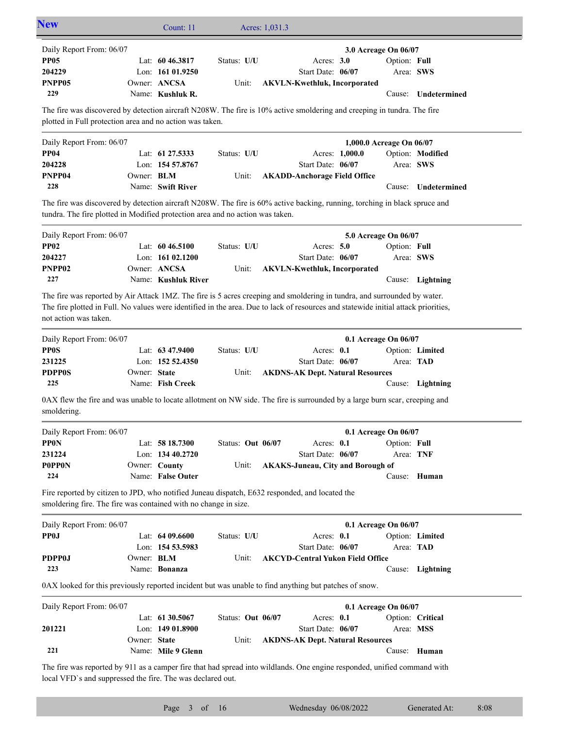| <b>New</b>                                                                                                                                                                                                                                                                              |                   | Count: 11           |                   | Acres: 1,031.3 |                                          |                          |              |                     |
|-----------------------------------------------------------------------------------------------------------------------------------------------------------------------------------------------------------------------------------------------------------------------------------------|-------------------|---------------------|-------------------|----------------|------------------------------------------|--------------------------|--------------|---------------------|
| Daily Report From: 06/07                                                                                                                                                                                                                                                                |                   |                     |                   |                |                                          | 3.0 Acreage On 06/07     |              |                     |
| <b>PP05</b>                                                                                                                                                                                                                                                                             |                   | Lat: $60\,46.3817$  | Status: U/U       |                | Acres: $3.0$                             |                          | Option: Full |                     |
| 204229                                                                                                                                                                                                                                                                                  |                   | Lon: 161 01.9250    |                   |                | Start Date: 06/07                        |                          |              | Area: SWS           |
| PNPP05                                                                                                                                                                                                                                                                                  |                   | Owner: ANCSA        | Unit:             |                | <b>AKVLN-Kwethluk, Incorporated</b>      |                          |              |                     |
| 229                                                                                                                                                                                                                                                                                     |                   | Name: Kushluk R.    |                   |                |                                          |                          |              | Cause: Undetermined |
| The fire was discovered by detection aircraft N208W. The fire is 10% active smoldering and creeping in tundra. The fire                                                                                                                                                                 |                   |                     |                   |                |                                          |                          |              |                     |
| plotted in Full protection area and no action was taken.                                                                                                                                                                                                                                |                   |                     |                   |                |                                          |                          |              |                     |
| Daily Report From: 06/07                                                                                                                                                                                                                                                                |                   |                     |                   |                |                                          | 1,000.0 Acreage On 06/07 |              |                     |
| <b>PP04</b>                                                                                                                                                                                                                                                                             |                   | Lat: 61 27.5333     | Status: U/U       |                |                                          | Acres: 1,000.0           |              | Option: Modified    |
| 204228                                                                                                                                                                                                                                                                                  |                   | Lon: 154 57.8767    |                   |                | Start Date: 06/07                        |                          |              | Area: SWS           |
| PNPP04                                                                                                                                                                                                                                                                                  | Owner: <b>BLM</b> |                     | Unit:             |                | <b>AKADD-Anchorage Field Office</b>      |                          |              |                     |
| 228                                                                                                                                                                                                                                                                                     |                   | Name: Swift River   |                   |                |                                          |                          | Cause:       | Undetermined        |
| The fire was discovered by detection aircraft N208W. The fire is 60% active backing, running, torching in black spruce and                                                                                                                                                              |                   |                     |                   |                |                                          |                          |              |                     |
| tundra. The fire plotted in Modified protection area and no action was taken.                                                                                                                                                                                                           |                   |                     |                   |                |                                          |                          |              |                     |
| Daily Report From: 06/07                                                                                                                                                                                                                                                                |                   |                     |                   |                |                                          | 5.0 Acreage On 06/07     |              |                     |
| <b>PP02</b>                                                                                                                                                                                                                                                                             |                   | Lat: $6046.5100$    | Status: U/U       |                | Acres: $5.0$                             |                          | Option: Full |                     |
| 204227                                                                                                                                                                                                                                                                                  |                   | Lon: $16102.1200$   |                   |                | Start Date: 06/07                        |                          |              | Area: SWS           |
| PNPP <sub>02</sub>                                                                                                                                                                                                                                                                      |                   | Owner: ANCSA        | Unit:             |                | <b>AKVLN-Kwethluk, Incorporated</b>      |                          |              |                     |
| 227                                                                                                                                                                                                                                                                                     |                   | Name: Kushluk River |                   |                |                                          |                          |              | Cause: Lightning    |
| The fire was reported by Air Attack 1MZ. The fire is 5 acres creeping and smoldering in tundra, and surrounded by water.<br>The fire plotted in Full. No values were identified in the area. Due to lack of resources and statewide initial attack priorities,<br>not action was taken. |                   |                     |                   |                |                                          |                          |              |                     |
|                                                                                                                                                                                                                                                                                         |                   |                     |                   |                |                                          |                          |              |                     |
|                                                                                                                                                                                                                                                                                         |                   |                     |                   |                |                                          | 0.1 Acreage On 06/07     |              |                     |
|                                                                                                                                                                                                                                                                                         |                   | Lat: 63 47.9400     | Status: U/U       |                | Acres: 0.1                               |                          |              | Option: Limited     |
|                                                                                                                                                                                                                                                                                         |                   | Lon: 152 52.4350    |                   |                | Start Date: 06/07                        |                          | Area: TAD    |                     |
|                                                                                                                                                                                                                                                                                         | Owner: State      |                     | Unit:             |                | <b>AKDNS-AK Dept. Natural Resources</b>  |                          |              |                     |
| 225                                                                                                                                                                                                                                                                                     |                   | Name: Fish Creek    |                   |                |                                          |                          |              | Cause: Lightning    |
| Daily Report From: 06/07<br><b>PPOS</b><br>231225<br><b>PDPP0S</b><br>0AX flew the fire and was unable to locate allotment on NW side. The fire is surrounded by a large burn scar, creeping and<br>smoldering.                                                                         |                   |                     |                   |                |                                          |                          |              |                     |
| Daily Report From: 06/07                                                                                                                                                                                                                                                                |                   |                     |                   |                |                                          | 0.1 Acreage On 06/07     |              |                     |
|                                                                                                                                                                                                                                                                                         |                   | Lat: 58 18.7300     | Status: Out 06/07 |                | Acres: 0.1                               |                          | Option: Full |                     |
|                                                                                                                                                                                                                                                                                         |                   | Lon: 134 40.2720    |                   |                | Start Date: 06/07                        |                          | Area: TNF    |                     |
|                                                                                                                                                                                                                                                                                         |                   | Owner: County       | Unit:             |                | <b>AKAKS-Juneau, City and Borough of</b> |                          |              |                     |
| 224                                                                                                                                                                                                                                                                                     |                   | Name: False Outer   |                   |                |                                          |                          |              | Cause: Human        |
| <b>PPON</b><br>231224<br><b>POPPON</b><br>Fire reported by citizen to JPD, who notified Juneau dispatch, E632 responded, and located the<br>smoldering fire. The fire was contained with no change in size.                                                                             |                   |                     |                   |                |                                          |                          |              |                     |
| Daily Report From: 06/07                                                                                                                                                                                                                                                                |                   |                     |                   |                |                                          | 0.1 Acreage On 06/07     |              |                     |
|                                                                                                                                                                                                                                                                                         |                   | Lat: 64 09.6600     | Status: U/U       |                | Acres: 0.1                               |                          |              | Option: Limited     |
| PP <sub>0</sub>                                                                                                                                                                                                                                                                         |                   | Lon: 154 53.5983    |                   |                | Start Date: 06/07                        |                          |              | Area: TAD           |
|                                                                                                                                                                                                                                                                                         | Owner: <b>BLM</b> |                     | Unit:             |                | <b>AKCYD-Central Yukon Field Office</b>  |                          |              |                     |
| 223                                                                                                                                                                                                                                                                                     |                   | Name: Bonanza       |                   |                |                                          |                          |              | Cause: Lightning    |
|                                                                                                                                                                                                                                                                                         |                   |                     |                   |                |                                          |                          |              |                     |
|                                                                                                                                                                                                                                                                                         |                   |                     |                   |                |                                          |                          |              |                     |
| <b>PDPP0J</b><br>0AX looked for this previously reported incident but was unable to find anything but patches of snow.<br>Daily Report From: 06/07                                                                                                                                      |                   |                     |                   |                |                                          | 0.1 Acreage On 06/07     |              |                     |
|                                                                                                                                                                                                                                                                                         |                   | Lat: 61 30.5067     | Status: Out 06/07 |                | Acres: 0.1                               |                          |              | Option: Critical    |
| 201221                                                                                                                                                                                                                                                                                  |                   | Lon: 149 01.8900    |                   |                | Start Date: 06/07                        |                          |              | Area: MSS           |
| 221                                                                                                                                                                                                                                                                                     | Owner: State      | Name: Mile 9 Glenn  | Unit:             |                | <b>AKDNS-AK Dept. Natural Resources</b>  |                          |              | Cause: Human        |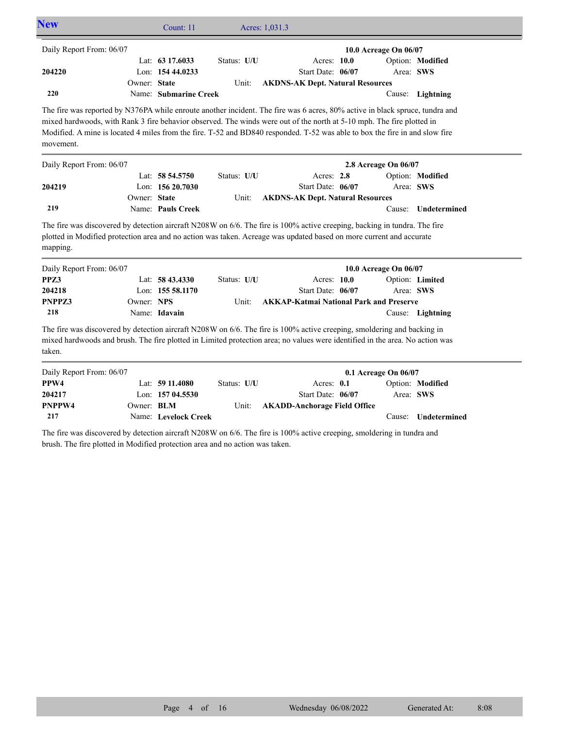| <b>New</b>                                                                                                                                                                                                                                                                                                                                                                                        |              | Count: 11             | Acres: 1,031.3 |                                                |                       |                  |
|---------------------------------------------------------------------------------------------------------------------------------------------------------------------------------------------------------------------------------------------------------------------------------------------------------------------------------------------------------------------------------------------------|--------------|-----------------------|----------------|------------------------------------------------|-----------------------|------------------|
| Daily Report From: 06/07                                                                                                                                                                                                                                                                                                                                                                          |              |                       |                |                                                | 10.0 Acreage On 06/07 |                  |
|                                                                                                                                                                                                                                                                                                                                                                                                   |              | Lat: 63 17,6033       | Status: U/U    | Acres: 10.0                                    |                       | Option: Modified |
| 204220                                                                                                                                                                                                                                                                                                                                                                                            |              | Lon: 154 44,0233      |                | Start Date: 06/07                              | Area: SWS             |                  |
|                                                                                                                                                                                                                                                                                                                                                                                                   | Owner: State |                       | Unit:          | <b>AKDNS-AK Dept. Natural Resources</b>        |                       |                  |
| 220                                                                                                                                                                                                                                                                                                                                                                                               |              | Name: Submarine Creek |                |                                                |                       | Cause: Lightning |
| The fire was reported by N376PA while enroute another incident. The fire was 6 acres, 80% active in black spruce, tundra and<br>mixed hardwoods, with Rank 3 fire behavior observed. The winds were out of the north at 5-10 mph. The fire plotted in<br>Modified. A mine is located 4 miles from the fire. T-52 and BD840 responded. T-52 was able to box the fire in and slow fire<br>movement. |              |                       |                |                                                |                       |                  |
| Daily Report From: 06/07                                                                                                                                                                                                                                                                                                                                                                          |              |                       |                |                                                | 2.8 Acreage On 06/07  |                  |
|                                                                                                                                                                                                                                                                                                                                                                                                   |              | Lat: 58 54.5750       | Status: U/U    | Acres: $2.8$                                   |                       | Option: Modified |
| 204219                                                                                                                                                                                                                                                                                                                                                                                            |              | Lon: 156 20.7030      |                | Start Date: 06/07                              | Area: SWS             |                  |
|                                                                                                                                                                                                                                                                                                                                                                                                   | Owner: State |                       | Unit:          | <b>AKDNS-AK Dept. Natural Resources</b>        |                       |                  |
| 219                                                                                                                                                                                                                                                                                                                                                                                               |              | Name: Pauls Creek     |                |                                                | Cause:                | Undetermined     |
| The fire was discovered by detection aircraft N208W on 6/6. The fire is 100% active creeping, backing in tundra. The fire<br>plotted in Modified protection area and no action was taken. Acreage was updated based on more current and accurate<br>mapping.                                                                                                                                      |              |                       |                |                                                |                       |                  |
| Daily Report From: 06/07                                                                                                                                                                                                                                                                                                                                                                          |              |                       |                |                                                | 10.0 Acreage On 06/07 |                  |
| PPZ3                                                                                                                                                                                                                                                                                                                                                                                              |              | Lat: $58\,43.4330$    | Status: U/U    | Acres: 10.0                                    |                       | Option: Limited  |
| 204218                                                                                                                                                                                                                                                                                                                                                                                            |              | Lon: 155 58.1170      |                | Start Date: 06/07                              | Area: SWS             |                  |
| PNPPZ3                                                                                                                                                                                                                                                                                                                                                                                            | Owner: NPS   |                       | Unit:          | <b>AKKAP-Katmai National Park and Preserve</b> |                       |                  |
| 218                                                                                                                                                                                                                                                                                                                                                                                               |              | Name: Idavain         |                |                                                |                       | Cause: Lightning |
| The fire was discovered by detection aircraft N208W on 6/6. The fire is 100% active creeping, smoldering and backing in<br>mixed hardwoods and brush. The fire plotted in Limited protection area; no values were identified in the area. No action was<br>taken.                                                                                                                                 |              |                       |                |                                                |                       |                  |
| Daily Report From: 06/07                                                                                                                                                                                                                                                                                                                                                                          |              |                       |                |                                                | 0.1 Acreage On 06/07  |                  |

| Daily Report From: 06/07 |                   |                      |             |                              | $0.1$ Acreage On $06/07$ |                     |
|--------------------------|-------------------|----------------------|-------------|------------------------------|--------------------------|---------------------|
| PPW4                     |                   | Lat: $5911.4080$     | Status: U/U | Acres: $0.1$                 |                          | Option: Modified    |
| 204217                   |                   | Lon: $15704.5530$    |             | Start Date: 06/07            | Area: SWS                |                     |
| PNPPW4                   | Owner: <b>BLM</b> |                      | Unit:       | AKADD-Anchorage Field Office |                          |                     |
| 217                      |                   | Name: Levelock Creek |             |                              |                          | Cause: Undetermined |

The fire was discovered by detection aircraft N208W on 6/6. The fire is 100% active creeping, smoldering in tundra and brush. The fire plotted in Modified protection area and no action was taken.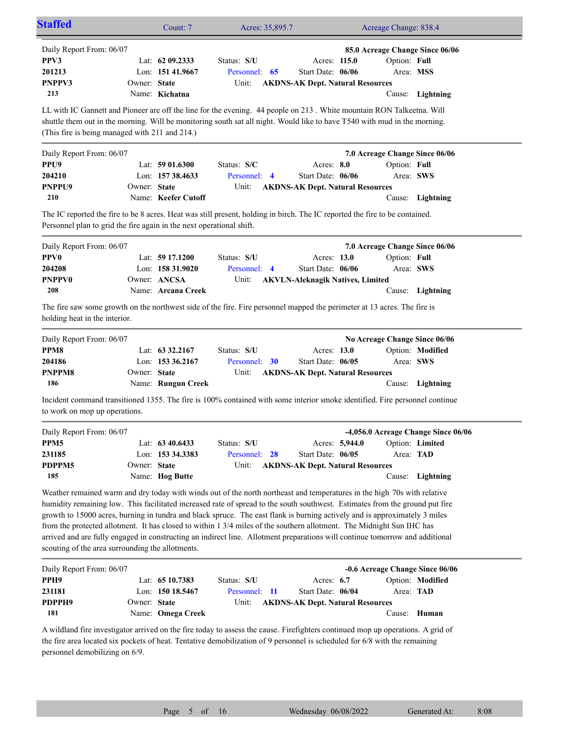| Staffed                                                                                                                                                                                             |              | Count: 7            | Acres: 35,895.7         |                                         |                | Acreage Change: 838.4          |                                     |
|-----------------------------------------------------------------------------------------------------------------------------------------------------------------------------------------------------|--------------|---------------------|-------------------------|-----------------------------------------|----------------|--------------------------------|-------------------------------------|
| Daily Report From: 06/07                                                                                                                                                                            |              |                     |                         |                                         |                |                                | 85.0 Acreage Change Since 06/06     |
| PPV3                                                                                                                                                                                                |              | Lat: $6209.2333$    | Status: S/U             | Acres: 115.0                            |                | Option: Full                   |                                     |
| 201213                                                                                                                                                                                              |              | Lon: 151 41.9667    | Personnel: 65           | Start Date: 06/06                       |                | Area: MSS                      |                                     |
| <b>PNPPV3</b>                                                                                                                                                                                       | Owner: State |                     | Unit:                   | <b>AKDNS-AK Dept. Natural Resources</b> |                |                                |                                     |
| 213                                                                                                                                                                                                 |              | Name: Kichatna      |                         |                                         |                |                                | Cause: Lightning                    |
|                                                                                                                                                                                                     |              |                     |                         |                                         |                |                                |                                     |
| LL with IC Gannett and Pioneer are off the line for the evening. 44 people on 213. White mountain RON Talkeetna. Will                                                                               |              |                     |                         |                                         |                |                                |                                     |
| shuttle them out in the morning. Will be monitoring south sat all night. Would like to have T540 with mud in the morning.                                                                           |              |                     |                         |                                         |                |                                |                                     |
| (This fire is being managed with 211 and 214.)                                                                                                                                                      |              |                     |                         |                                         |                |                                |                                     |
| Daily Report From: 06/07                                                                                                                                                                            |              |                     |                         |                                         |                | 7.0 Acreage Change Since 06/06 |                                     |
| PPU <sub>9</sub>                                                                                                                                                                                    |              | Lat: $5901.6300$    | Status: S/C             | Acres: 8.0                              |                | Option: Full                   |                                     |
| 204210                                                                                                                                                                                              |              | Lon: 157 38.4633    | Personnel: 4            | Start Date: 06/06                       |                | Area: SWS                      |                                     |
| PNPPU9                                                                                                                                                                                              | Owner: State |                     | Unit:                   | <b>AKDNS-AK Dept. Natural Resources</b> |                |                                |                                     |
| 210                                                                                                                                                                                                 |              | Name: Keefer Cutoff |                         |                                         |                |                                | Cause: Lightning                    |
|                                                                                                                                                                                                     |              |                     |                         |                                         |                |                                |                                     |
| The IC reported the fire to be 8 acres. Heat was still present, holding in birch. The IC reported the fire to be contained.<br>Personnel plan to grid the fire again in the next operational shift. |              |                     |                         |                                         |                |                                |                                     |
|                                                                                                                                                                                                     |              |                     |                         |                                         |                |                                |                                     |
| Daily Report From: 06/07                                                                                                                                                                            |              |                     |                         |                                         |                | 7.0 Acreage Change Since 06/06 |                                     |
| <b>PPV0</b>                                                                                                                                                                                         |              | Lat: $59\,17.1200$  | Status: S/U             | Acres: 13.0                             |                | Option: Full                   |                                     |
| 204208                                                                                                                                                                                              |              | Lon: 158 31.9020    | Personnel: 4            | Start Date: 06/06                       |                | Area: SWS                      |                                     |
| <b>PNPPV0</b>                                                                                                                                                                                       |              | Owner: ANCSA        | Unit:                   | <b>AKVLN-Aleknagik Natives, Limited</b> |                |                                |                                     |
| 208                                                                                                                                                                                                 |              | Name: Arcana Creek  |                         |                                         |                |                                | Cause: Lightning                    |
| The fire saw some growth on the northwest side of the fire. Fire personnel mapped the perimeter at 13 acres. The fire is                                                                            |              |                     |                         |                                         |                |                                |                                     |
| holding heat in the interior.                                                                                                                                                                       |              |                     |                         |                                         |                |                                |                                     |
|                                                                                                                                                                                                     |              |                     |                         |                                         |                |                                |                                     |
| Daily Report From: 06/07                                                                                                                                                                            |              |                     |                         |                                         |                | No Acreage Change Since 06/06  |                                     |
| PPM8                                                                                                                                                                                                |              | Lat: $63\,32.2167$  | Status: S/U             | Acres: 13.0                             |                |                                | Option: Modified                    |
| 204186                                                                                                                                                                                              |              | Lon: 153 36.2167    | Personnel: 30           | Start Date: 06/05                       |                | Area: SWS                      |                                     |
| PNPPM8                                                                                                                                                                                              | Owner: State |                     | Unit:                   | <b>AKDNS-AK Dept. Natural Resources</b> |                |                                |                                     |
| 186                                                                                                                                                                                                 |              | Name: Rungun Creek  |                         |                                         |                |                                | Cause: Lightning                    |
| Incident command transitioned 1355. The fire is 100% contained with some interior smoke identified. Fire personnel continue                                                                         |              |                     |                         |                                         |                |                                |                                     |
| to work on mop up operations.                                                                                                                                                                       |              |                     |                         |                                         |                |                                |                                     |
|                                                                                                                                                                                                     |              |                     |                         |                                         |                |                                |                                     |
| Daily Report From: 06/07                                                                                                                                                                            |              |                     |                         |                                         |                |                                | -4,056.0 Acreage Change Since 06/06 |
| PPM <sub>5</sub>                                                                                                                                                                                    |              | Lat: 63 40.6433     | Status: S/U             |                                         | Acres: 5,944.0 |                                | Option: Limited                     |
| 231185                                                                                                                                                                                              |              | Lon: 153 34.3383    | Personnel:<br><b>28</b> | Start Date: 06/05                       |                | Area: TAD                      |                                     |
| PDPPM5                                                                                                                                                                                              | Owner: State |                     | Unit:                   | <b>AKDNS-AK Dept. Natural Resources</b> |                |                                |                                     |
| 185                                                                                                                                                                                                 |              | Name: Hog Butte     |                         |                                         |                |                                | Cause: Lightning                    |
| Weather remained warm and dry today with winds out of the north northeast and temperatures in the high 70s with relative                                                                            |              |                     |                         |                                         |                |                                |                                     |
| humidity remaining low. This facilitated increased rate of spread to the south southwest. Estimates from the ground put fire                                                                        |              |                     |                         |                                         |                |                                |                                     |
| growth to 15000 acres, burning in tundra and black spruce. The east flank is burning actively and is approximately 3 miles                                                                          |              |                     |                         |                                         |                |                                |                                     |
| from the protected allotment. It has closed to within 1 3/4 miles of the southern allotment. The Midnight Sun IHC has                                                                               |              |                     |                         |                                         |                |                                |                                     |
| arrived and are fully engaged in constructing an indirect line. Allotment preparations will continue tomorrow and additional                                                                        |              |                     |                         |                                         |                |                                |                                     |
| scouting of the area surrounding the allotments.                                                                                                                                                    |              |                     |                         |                                         |                |                                |                                     |
|                                                                                                                                                                                                     |              |                     |                         |                                         |                |                                |                                     |
| Daily Report From: 06/07                                                                                                                                                                            |              |                     |                         |                                         |                |                                | -0.6 Acreage Change Since 06/06     |
| PPH9                                                                                                                                                                                                |              | Lat: 65 10.7383     | Status: S/U             | Acres: 6.7                              |                |                                | Option: Modified                    |
| 231181                                                                                                                                                                                              |              | Lon: 150 18.5467    | Personnel: 11           | Start Date: 06/04                       |                | Area: TAD                      |                                     |
| PDPPH9                                                                                                                                                                                              | Owner: State |                     | Unit:                   | <b>AKDNS-AK Dept. Natural Resources</b> |                |                                |                                     |
|                                                                                                                                                                                                     |              |                     |                         |                                         |                |                                |                                     |
| 181                                                                                                                                                                                                 |              | Name: Omega Creek   |                         |                                         |                |                                | Cause: Human                        |

the fire area located six pockets of heat. Tentative demobilization of 9 personnel is scheduled for 6/8 with the remaining personnel demobilizing on 6/9.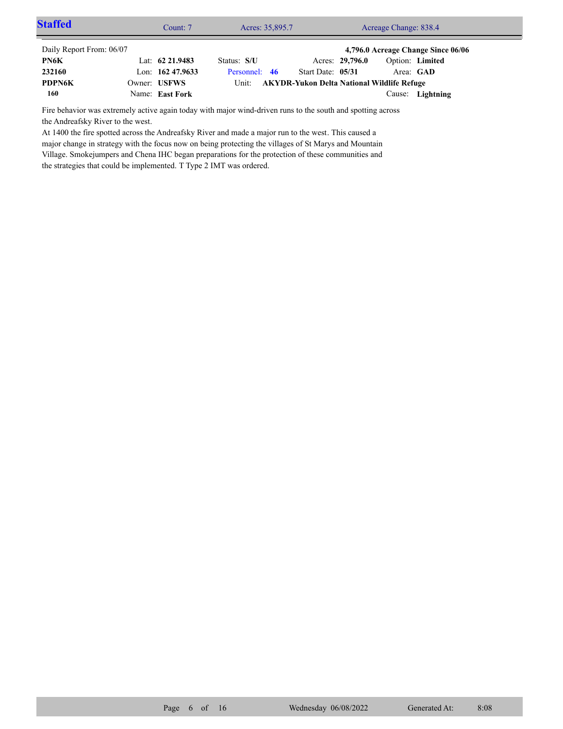| <b>Staffed</b>           | Count: 7           | Acres: 35,895.7 |                                                   |                 | Acreage Change: 838.4 |                                    |  |
|--------------------------|--------------------|-----------------|---------------------------------------------------|-----------------|-----------------------|------------------------------------|--|
| Daily Report From: 06/07 |                    |                 |                                                   |                 |                       | 4,796.0 Acreage Change Since 06/06 |  |
| PN6K                     | Lat: $62\,21.9483$ | Status: S/U     |                                                   | Acres: 29,796.0 | Option: Limited       |                                    |  |
| 232160                   | Lon: $16247.9633$  | Personnel: 46   | Start Date: 05/31                                 |                 | Area: GAD             |                                    |  |
| <b>PDPN6K</b>            | Owner: USFWS       | Unit:           | <b>AKYDR-Yukon Delta National Wildlife Refuge</b> |                 |                       |                                    |  |
| 160                      | Name: East Fork    |                 |                                                   |                 |                       | Cause: Lightning                   |  |

Fire behavior was extremely active again today with major wind-driven runs to the south and spotting across the Andreafsky River to the west.

At 1400 the fire spotted across the Andreafsky River and made a major run to the west. This caused a major change in strategy with the focus now on being protecting the villages of St Marys and Mountain Village. Smokejumpers and Chena IHC began preparations for the protection of these communities and the strategies that could be implemented. T Type 2 IMT was ordered.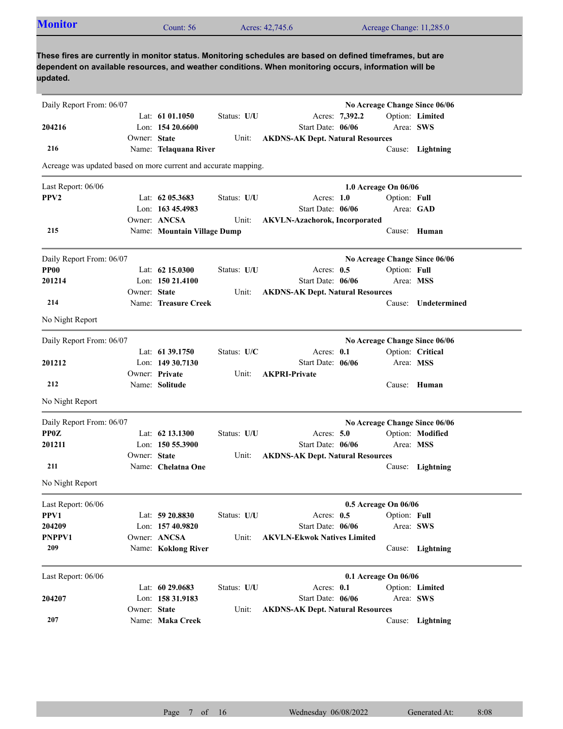| <b>Monitor</b>                                                  |              | Count: 56                           |             | Acres: 42,745.6                                                                                                                                                                                                     |                | Acreage Change: 11,285.0  |                               |
|-----------------------------------------------------------------|--------------|-------------------------------------|-------------|---------------------------------------------------------------------------------------------------------------------------------------------------------------------------------------------------------------------|----------------|---------------------------|-------------------------------|
| updated.                                                        |              |                                     |             | These fires are currently in monitor status. Monitoring schedules are based on defined timeframes, but are<br>dependent on available resources, and weather conditions. When monitoring occurs, information will be |                |                           |                               |
| Daily Report From: 06/07                                        |              |                                     |             |                                                                                                                                                                                                                     |                |                           | No Acreage Change Since 06/06 |
|                                                                 |              | Lat: $61\,01.1050$                  | Status: U/U |                                                                                                                                                                                                                     | Acres: 7,392.2 |                           | Option: Limited               |
| 204216                                                          |              | Lon: $15420.6600$                   |             | Start Date: 06/06                                                                                                                                                                                                   |                | Area: SWS                 |                               |
|                                                                 | Owner: State |                                     | Unit:       | <b>AKDNS-AK Dept. Natural Resources</b>                                                                                                                                                                             |                |                           |                               |
| 216                                                             |              | Name: Telaquana River               |             |                                                                                                                                                                                                                     |                |                           | Cause: Lightning              |
| Acreage was updated based on more current and accurate mapping. |              |                                     |             |                                                                                                                                                                                                                     |                |                           |                               |
| Last Report: 06/06                                              |              |                                     |             |                                                                                                                                                                                                                     |                | 1.0 Acreage On 06/06      |                               |
| PPV <sub>2</sub>                                                |              | Lat: 62 05.3683                     | Status: U/U | Acres: $1.0$                                                                                                                                                                                                        |                | Option: Full              |                               |
|                                                                 |              | Lon: 163 45.4983                    |             | Start Date: 06/06                                                                                                                                                                                                   |                |                           | Area: GAD                     |
|                                                                 |              | Owner: ANCSA                        | Unit:       | <b>AKVLN-Azachorok, Incorporated</b>                                                                                                                                                                                |                |                           |                               |
| 215                                                             |              | Name: Mountain Village Dump         |             |                                                                                                                                                                                                                     |                |                           | Cause: Human                  |
| Daily Report From: 06/07                                        |              |                                     |             |                                                                                                                                                                                                                     |                |                           | No Acreage Change Since 06/06 |
| <b>PP00</b>                                                     |              | Lat: 62 15.0300                     | Status: U/U | Acres: 0.5                                                                                                                                                                                                          |                | Option: Full              |                               |
| 201214                                                          |              | Lon: $15021.4100$                   |             | Start Date: 06/06                                                                                                                                                                                                   |                | Area: MSS                 |                               |
|                                                                 | Owner: State |                                     | Unit:       | <b>AKDNS-AK Dept. Natural Resources</b>                                                                                                                                                                             |                |                           |                               |
| 214                                                             |              | Name: Treasure Creek                |             |                                                                                                                                                                                                                     |                | Cause:                    | Undetermined                  |
| No Night Report                                                 |              |                                     |             |                                                                                                                                                                                                                     |                |                           |                               |
| Daily Report From: 06/07                                        |              |                                     |             |                                                                                                                                                                                                                     |                |                           | No Acreage Change Since 06/06 |
|                                                                 |              | Lat: $61\,39.1750$                  | Status: U/C | Acres: 0.1                                                                                                                                                                                                          |                |                           | Option: Critical              |
| 201212                                                          |              | Lon: $14930.7130$                   |             | Start Date: 06/06                                                                                                                                                                                                   |                | Area: MSS                 |                               |
|                                                                 |              | Owner: Private                      | Unit:       | <b>AKPRI-Private</b>                                                                                                                                                                                                |                |                           |                               |
| 212                                                             |              | Name: Solitude                      |             |                                                                                                                                                                                                                     |                |                           | Cause: Human                  |
| No Night Report                                                 |              |                                     |             |                                                                                                                                                                                                                     |                |                           |                               |
| Daily Report From: 06/07                                        |              |                                     |             |                                                                                                                                                                                                                     |                |                           | No Acreage Change Since 06/06 |
| <b>PP0Z</b>                                                     |              | Lat: 62 13.1300                     | Status: U/U | Acres: 5.0                                                                                                                                                                                                          |                |                           | Option: Modified              |
| 201211                                                          |              | Lon: 150 55.3900                    |             | Start Date: 06/06                                                                                                                                                                                                   |                | Area: MSS                 |                               |
| 211                                                             | Owner: State | Name: Chelatna One                  | Unit:       | <b>AKDNS-AK Dept. Natural Resources</b>                                                                                                                                                                             |                |                           |                               |
| No Night Report                                                 |              |                                     |             |                                                                                                                                                                                                                     |                |                           | Cause: Lightning              |
|                                                                 |              |                                     |             |                                                                                                                                                                                                                     |                |                           |                               |
| Last Report: 06/06                                              |              |                                     |             |                                                                                                                                                                                                                     |                | 0.5 Acreage On 06/06      |                               |
| PPV1<br>204209                                                  |              | Lat: 59 20.8830<br>Lon: 157 40.9820 | Status: U/U | Acres: $0.5$<br>Start Date: 06/06                                                                                                                                                                                   |                | Option: Full<br>Area: SWS |                               |
| PNPPV1                                                          |              | Owner: ANCSA                        | Unit:       | <b>AKVLN-Ekwok Natives Limited</b>                                                                                                                                                                                  |                |                           |                               |
| 209                                                             |              | Name: Koklong River                 |             |                                                                                                                                                                                                                     |                |                           | Cause: Lightning              |
|                                                                 |              |                                     |             |                                                                                                                                                                                                                     |                |                           |                               |
| Last Report: 06/06                                              |              |                                     |             |                                                                                                                                                                                                                     |                | 0.1 Acreage On 06/06      |                               |
| 204207                                                          |              | Lat: 60 29.0683<br>Lon: 158 31.9183 | Status: U/U | Acres: 0.1<br>Start Date: 06/06                                                                                                                                                                                     |                | Area: SWS                 | Option: Limited               |
|                                                                 | Owner: State |                                     | Unit:       | <b>AKDNS-AK Dept. Natural Resources</b>                                                                                                                                                                             |                |                           |                               |
|                                                                 |              |                                     |             |                                                                                                                                                                                                                     |                |                           |                               |

Name: **Maka Creek**

**207**

Cause: **Lightning**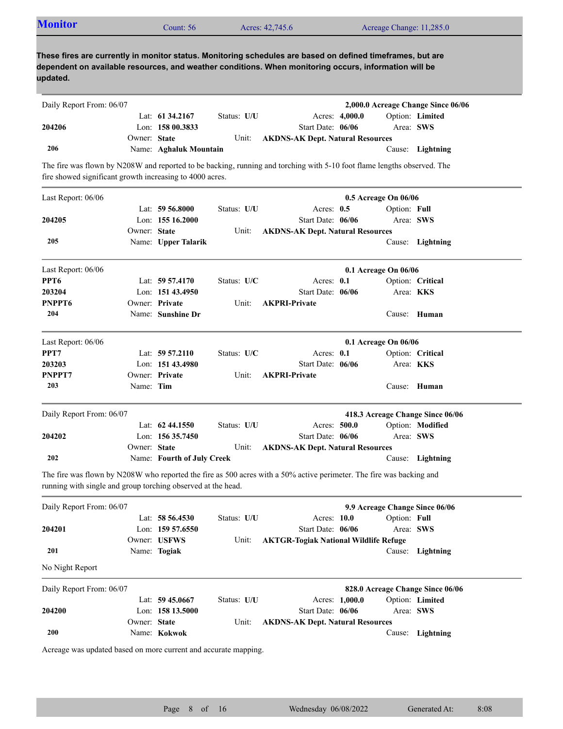| These fires are currently in monitor status. Monitoring schedules are based on defined timeframes, but are<br>dependent on available resources, and weather conditions. When monitoring occurs, information will be<br>updated.<br>2,000.0 Acreage Change Since 06/06<br>Daily Report From: 06/07<br>Option: Limited<br>Lat: $61\,34.2167$<br>Status: U/U<br>Acres: 4,000.0<br>204206<br>Lon: $15800.3833$<br>Start Date: 06/06<br>Area: SWS<br>Owner: State<br><b>AKDNS-AK Dept. Natural Resources</b><br>Unit:<br>206<br>Name: Aghaluk Mountain<br>Cause: Lightning<br>The fire was flown by N208W and reported to be backing, running and torching with 5-10 foot flame lengths observed. The<br>fire showed significant growth increasing to 4000 acres.<br>Last Report: 06/06<br>0.5 Acreage On 06/06<br>Lat: $59\,56.8000$<br>Status: U/U<br>Acres: $0.5$<br>Option: Full<br>Lon: $15516.2000$<br>Start Date: 06/06<br>Area: SWS<br>204205<br>Owner: State<br>Unit:<br><b>AKDNS-AK Dept. Natural Resources</b><br>205<br>Name: Upper Talarik<br>Cause: Lightning<br>Last Report: 06/06<br>0.1 Acreage On 06/06<br>PPT <sub>6</sub><br>Lat: $59\,57.4170$<br>Status: $U/C$<br>Acres: $0.1$<br>Option: Critical<br>Start Date: 06/06<br>203204<br>Lon: $15143.4950$<br>Area: <b>KKS</b><br>PNPPT6<br><b>AKPRI-Private</b><br>Owner: Private<br>Unit:<br>204<br>Name: Sunshine Dr<br>Cause: Human<br>Last Report: 06/06<br>0.1 Acreage On 06/06<br>PPT7<br>Lat: $59\,57.2110$<br>Status: $U/C$<br>Acres: $0.1$<br>Option: Critical<br>203203<br>Lon: 151 43.4980<br>Start Date: 06/06<br>Area: KKS<br>PNPPT7<br>Owner: Private<br><b>AKPRI-Private</b><br>Unit:<br>203<br>Name: Tim<br>Cause: Human<br>418.3 Acreage Change Since 06/06<br>Daily Report From: 06/07 |  |
|------------------------------------------------------------------------------------------------------------------------------------------------------------------------------------------------------------------------------------------------------------------------------------------------------------------------------------------------------------------------------------------------------------------------------------------------------------------------------------------------------------------------------------------------------------------------------------------------------------------------------------------------------------------------------------------------------------------------------------------------------------------------------------------------------------------------------------------------------------------------------------------------------------------------------------------------------------------------------------------------------------------------------------------------------------------------------------------------------------------------------------------------------------------------------------------------------------------------------------------------------------------------------------------------------------------------------------------------------------------------------------------------------------------------------------------------------------------------------------------------------------------------------------------------------------------------------------------------------------------------------------------------------------------------------------------------------------------------------------------------------------------------|--|
|                                                                                                                                                                                                                                                                                                                                                                                                                                                                                                                                                                                                                                                                                                                                                                                                                                                                                                                                                                                                                                                                                                                                                                                                                                                                                                                                                                                                                                                                                                                                                                                                                                                                                                                                                                        |  |
|                                                                                                                                                                                                                                                                                                                                                                                                                                                                                                                                                                                                                                                                                                                                                                                                                                                                                                                                                                                                                                                                                                                                                                                                                                                                                                                                                                                                                                                                                                                                                                                                                                                                                                                                                                        |  |
|                                                                                                                                                                                                                                                                                                                                                                                                                                                                                                                                                                                                                                                                                                                                                                                                                                                                                                                                                                                                                                                                                                                                                                                                                                                                                                                                                                                                                                                                                                                                                                                                                                                                                                                                                                        |  |
|                                                                                                                                                                                                                                                                                                                                                                                                                                                                                                                                                                                                                                                                                                                                                                                                                                                                                                                                                                                                                                                                                                                                                                                                                                                                                                                                                                                                                                                                                                                                                                                                                                                                                                                                                                        |  |
|                                                                                                                                                                                                                                                                                                                                                                                                                                                                                                                                                                                                                                                                                                                                                                                                                                                                                                                                                                                                                                                                                                                                                                                                                                                                                                                                                                                                                                                                                                                                                                                                                                                                                                                                                                        |  |
|                                                                                                                                                                                                                                                                                                                                                                                                                                                                                                                                                                                                                                                                                                                                                                                                                                                                                                                                                                                                                                                                                                                                                                                                                                                                                                                                                                                                                                                                                                                                                                                                                                                                                                                                                                        |  |
|                                                                                                                                                                                                                                                                                                                                                                                                                                                                                                                                                                                                                                                                                                                                                                                                                                                                                                                                                                                                                                                                                                                                                                                                                                                                                                                                                                                                                                                                                                                                                                                                                                                                                                                                                                        |  |
|                                                                                                                                                                                                                                                                                                                                                                                                                                                                                                                                                                                                                                                                                                                                                                                                                                                                                                                                                                                                                                                                                                                                                                                                                                                                                                                                                                                                                                                                                                                                                                                                                                                                                                                                                                        |  |
|                                                                                                                                                                                                                                                                                                                                                                                                                                                                                                                                                                                                                                                                                                                                                                                                                                                                                                                                                                                                                                                                                                                                                                                                                                                                                                                                                                                                                                                                                                                                                                                                                                                                                                                                                                        |  |
|                                                                                                                                                                                                                                                                                                                                                                                                                                                                                                                                                                                                                                                                                                                                                                                                                                                                                                                                                                                                                                                                                                                                                                                                                                                                                                                                                                                                                                                                                                                                                                                                                                                                                                                                                                        |  |
|                                                                                                                                                                                                                                                                                                                                                                                                                                                                                                                                                                                                                                                                                                                                                                                                                                                                                                                                                                                                                                                                                                                                                                                                                                                                                                                                                                                                                                                                                                                                                                                                                                                                                                                                                                        |  |
|                                                                                                                                                                                                                                                                                                                                                                                                                                                                                                                                                                                                                                                                                                                                                                                                                                                                                                                                                                                                                                                                                                                                                                                                                                                                                                                                                                                                                                                                                                                                                                                                                                                                                                                                                                        |  |
|                                                                                                                                                                                                                                                                                                                                                                                                                                                                                                                                                                                                                                                                                                                                                                                                                                                                                                                                                                                                                                                                                                                                                                                                                                                                                                                                                                                                                                                                                                                                                                                                                                                                                                                                                                        |  |
|                                                                                                                                                                                                                                                                                                                                                                                                                                                                                                                                                                                                                                                                                                                                                                                                                                                                                                                                                                                                                                                                                                                                                                                                                                                                                                                                                                                                                                                                                                                                                                                                                                                                                                                                                                        |  |
|                                                                                                                                                                                                                                                                                                                                                                                                                                                                                                                                                                                                                                                                                                                                                                                                                                                                                                                                                                                                                                                                                                                                                                                                                                                                                                                                                                                                                                                                                                                                                                                                                                                                                                                                                                        |  |
|                                                                                                                                                                                                                                                                                                                                                                                                                                                                                                                                                                                                                                                                                                                                                                                                                                                                                                                                                                                                                                                                                                                                                                                                                                                                                                                                                                                                                                                                                                                                                                                                                                                                                                                                                                        |  |
|                                                                                                                                                                                                                                                                                                                                                                                                                                                                                                                                                                                                                                                                                                                                                                                                                                                                                                                                                                                                                                                                                                                                                                                                                                                                                                                                                                                                                                                                                                                                                                                                                                                                                                                                                                        |  |
|                                                                                                                                                                                                                                                                                                                                                                                                                                                                                                                                                                                                                                                                                                                                                                                                                                                                                                                                                                                                                                                                                                                                                                                                                                                                                                                                                                                                                                                                                                                                                                                                                                                                                                                                                                        |  |
|                                                                                                                                                                                                                                                                                                                                                                                                                                                                                                                                                                                                                                                                                                                                                                                                                                                                                                                                                                                                                                                                                                                                                                                                                                                                                                                                                                                                                                                                                                                                                                                                                                                                                                                                                                        |  |
|                                                                                                                                                                                                                                                                                                                                                                                                                                                                                                                                                                                                                                                                                                                                                                                                                                                                                                                                                                                                                                                                                                                                                                                                                                                                                                                                                                                                                                                                                                                                                                                                                                                                                                                                                                        |  |
|                                                                                                                                                                                                                                                                                                                                                                                                                                                                                                                                                                                                                                                                                                                                                                                                                                                                                                                                                                                                                                                                                                                                                                                                                                                                                                                                                                                                                                                                                                                                                                                                                                                                                                                                                                        |  |
|                                                                                                                                                                                                                                                                                                                                                                                                                                                                                                                                                                                                                                                                                                                                                                                                                                                                                                                                                                                                                                                                                                                                                                                                                                                                                                                                                                                                                                                                                                                                                                                                                                                                                                                                                                        |  |
|                                                                                                                                                                                                                                                                                                                                                                                                                                                                                                                                                                                                                                                                                                                                                                                                                                                                                                                                                                                                                                                                                                                                                                                                                                                                                                                                                                                                                                                                                                                                                                                                                                                                                                                                                                        |  |
| Lat: 62 44.1550<br>Status: U/U<br>Acres: 500.0<br>Option: Modified                                                                                                                                                                                                                                                                                                                                                                                                                                                                                                                                                                                                                                                                                                                                                                                                                                                                                                                                                                                                                                                                                                                                                                                                                                                                                                                                                                                                                                                                                                                                                                                                                                                                                                     |  |
| Lon: 156 35.7450<br>Start Date: 06/06<br>Area: SWS<br>204202                                                                                                                                                                                                                                                                                                                                                                                                                                                                                                                                                                                                                                                                                                                                                                                                                                                                                                                                                                                                                                                                                                                                                                                                                                                                                                                                                                                                                                                                                                                                                                                                                                                                                                           |  |
| Owner: State<br>Unit:<br><b>AKDNS-AK Dept. Natural Resources</b>                                                                                                                                                                                                                                                                                                                                                                                                                                                                                                                                                                                                                                                                                                                                                                                                                                                                                                                                                                                                                                                                                                                                                                                                                                                                                                                                                                                                                                                                                                                                                                                                                                                                                                       |  |
| 202<br>Name: Fourth of July Creek<br>Cause: Lightning                                                                                                                                                                                                                                                                                                                                                                                                                                                                                                                                                                                                                                                                                                                                                                                                                                                                                                                                                                                                                                                                                                                                                                                                                                                                                                                                                                                                                                                                                                                                                                                                                                                                                                                  |  |
| The fire was flown by N208W who reported the fire as 500 acres with a 50% active perimeter. The fire was backing and<br>running with single and group torching observed at the head.                                                                                                                                                                                                                                                                                                                                                                                                                                                                                                                                                                                                                                                                                                                                                                                                                                                                                                                                                                                                                                                                                                                                                                                                                                                                                                                                                                                                                                                                                                                                                                                   |  |
| Daily Report From: 06/07<br>9.9 Acreage Change Since 06/06                                                                                                                                                                                                                                                                                                                                                                                                                                                                                                                                                                                                                                                                                                                                                                                                                                                                                                                                                                                                                                                                                                                                                                                                                                                                                                                                                                                                                                                                                                                                                                                                                                                                                                             |  |
| Option: Full<br>Lat: 58 56.4530<br>Status: U/U<br>Acres: 10.0                                                                                                                                                                                                                                                                                                                                                                                                                                                                                                                                                                                                                                                                                                                                                                                                                                                                                                                                                                                                                                                                                                                                                                                                                                                                                                                                                                                                                                                                                                                                                                                                                                                                                                          |  |
| Lon: 159 57.6550<br>Start Date: 06/06<br>Area: SWS<br>204201                                                                                                                                                                                                                                                                                                                                                                                                                                                                                                                                                                                                                                                                                                                                                                                                                                                                                                                                                                                                                                                                                                                                                                                                                                                                                                                                                                                                                                                                                                                                                                                                                                                                                                           |  |
| Owner: USFWS<br><b>AKTGR-Togiak National Wildlife Refuge</b><br>Unit:                                                                                                                                                                                                                                                                                                                                                                                                                                                                                                                                                                                                                                                                                                                                                                                                                                                                                                                                                                                                                                                                                                                                                                                                                                                                                                                                                                                                                                                                                                                                                                                                                                                                                                  |  |
| 201<br>Name: Togiak<br>Cause: Lightning                                                                                                                                                                                                                                                                                                                                                                                                                                                                                                                                                                                                                                                                                                                                                                                                                                                                                                                                                                                                                                                                                                                                                                                                                                                                                                                                                                                                                                                                                                                                                                                                                                                                                                                                |  |
| No Night Report                                                                                                                                                                                                                                                                                                                                                                                                                                                                                                                                                                                                                                                                                                                                                                                                                                                                                                                                                                                                                                                                                                                                                                                                                                                                                                                                                                                                                                                                                                                                                                                                                                                                                                                                                        |  |

| Daily Report From: 06/07 |              |                    |             |                                         | 828.0 Acreage Change Since 06/06 |           |                  |  |
|--------------------------|--------------|--------------------|-------------|-----------------------------------------|----------------------------------|-----------|------------------|--|
|                          |              | Lat: $59\,45.0667$ | Status: U/U |                                         | Acres: 1,000.0                   |           | Option: Limited  |  |
| 204200                   |              | Lon: $15813.5000$  |             | Start Date: $06/06$                     |                                  | Area: SWS |                  |  |
|                          | Owner: State |                    | Unit:       | <b>AKDNS-AK Dept. Natural Resources</b> |                                  |           |                  |  |
| 200                      |              | Name: Kokwok       |             |                                         |                                  |           | Cause: Lightning |  |

Acreage was updated based on more current and accurate mapping.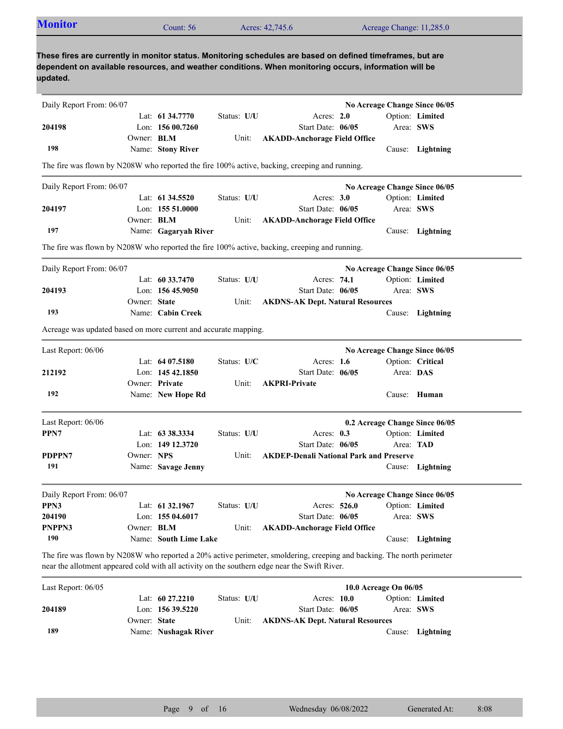| <b>Monitor</b>                                                  |                   | Count: 56             |                           | Acres: 42,745.6                                                                                                                                                                                                         |                       | Acreage Change: 11,285.0                                                                   |  |
|-----------------------------------------------------------------|-------------------|-----------------------|---------------------------|-------------------------------------------------------------------------------------------------------------------------------------------------------------------------------------------------------------------------|-----------------------|--------------------------------------------------------------------------------------------|--|
| updated.                                                        |                   |                       |                           | These fires are currently in monitor status. Monitoring schedules are based on defined timeframes, but are<br>dependent on available resources, and weather conditions. When monitoring occurs, information will be     |                       |                                                                                            |  |
| Daily Report From: 06/07                                        |                   |                       |                           |                                                                                                                                                                                                                         |                       | No Acreage Change Since 06/05                                                              |  |
|                                                                 |                   | Lat: 61 34.7770       | Status: U/U               | Acres: $2.0$                                                                                                                                                                                                            |                       | Option: Limited                                                                            |  |
| 204198                                                          |                   | Lon: 156 00.7260      |                           | Start Date: 06/05                                                                                                                                                                                                       |                       | Area: SWS                                                                                  |  |
|                                                                 | Owner: BLM        |                       | Unit:                     | <b>AKADD-Anchorage Field Office</b>                                                                                                                                                                                     |                       |                                                                                            |  |
| 198                                                             |                   | Name: Stony River     |                           |                                                                                                                                                                                                                         |                       | Cause: Lightning                                                                           |  |
|                                                                 |                   |                       |                           | The fire was flown by N208W who reported the fire 100% active, backing, creeping and running.                                                                                                                           |                       |                                                                                            |  |
| Daily Report From: 06/07                                        |                   |                       |                           |                                                                                                                                                                                                                         |                       | No Acreage Change Since 06/05                                                              |  |
|                                                                 |                   | Lat: $61\,34.5520$    | Status: U/U               | Acres: $3.0$                                                                                                                                                                                                            |                       | Option: Limited                                                                            |  |
| 204197                                                          |                   | Lon: 155 51.0000      |                           | Start Date: 06/05                                                                                                                                                                                                       |                       | Area: SWS                                                                                  |  |
|                                                                 | Owner: <b>BLM</b> |                       | Unit:                     | <b>AKADD-Anchorage Field Office</b>                                                                                                                                                                                     |                       |                                                                                            |  |
| 197                                                             |                   | Name: Gagaryah River  |                           |                                                                                                                                                                                                                         |                       | Cause: Lightning                                                                           |  |
|                                                                 |                   |                       |                           | The fire was flown by N208W who reported the fire 100% active, backing, creeping and running.                                                                                                                           |                       |                                                                                            |  |
| Daily Report From: 06/07                                        |                   |                       |                           |                                                                                                                                                                                                                         |                       | No Acreage Change Since 06/05                                                              |  |
|                                                                 |                   | Lat: $60\,33.7470$    | Status: U/U               | Acres: 74.1                                                                                                                                                                                                             |                       | Option: Limited                                                                            |  |
| 204193                                                          |                   | Lon: $15645.9050$     |                           | Start Date: 06/05                                                                                                                                                                                                       |                       | Area: SWS                                                                                  |  |
|                                                                 | Owner: State      |                       | Unit:                     | <b>AKDNS-AK Dept. Natural Resources</b>                                                                                                                                                                                 |                       |                                                                                            |  |
| 193                                                             |                   | Name: Cabin Creek     |                           |                                                                                                                                                                                                                         |                       | Cause: Lightning                                                                           |  |
| Acreage was updated based on more current and accurate mapping. |                   |                       |                           |                                                                                                                                                                                                                         |                       |                                                                                            |  |
| Last Report: 06/06                                              |                   |                       |                           |                                                                                                                                                                                                                         |                       | No Acreage Change Since 06/05                                                              |  |
|                                                                 |                   | Lat: 64 07.5180       | Status: U/C               | Acres: $1.6$                                                                                                                                                                                                            |                       | Option: Critical                                                                           |  |
| 212192                                                          |                   | Lon: $14542.1850$     |                           | Start Date: 06/05                                                                                                                                                                                                       |                       | Area: DAS                                                                                  |  |
|                                                                 |                   | Owner: Private        | Unit:                     | <b>AKPRI-Private</b>                                                                                                                                                                                                    |                       |                                                                                            |  |
| 192                                                             |                   | Name: New Hope Rd     |                           |                                                                                                                                                                                                                         |                       | Cause: Human                                                                               |  |
|                                                                 |                   |                       |                           |                                                                                                                                                                                                                         |                       |                                                                                            |  |
| Last Report: 06/06                                              |                   |                       |                           |                                                                                                                                                                                                                         |                       | 0.2 Acreage Change Since 06/05                                                             |  |
| PPN7                                                            |                   | Lat: 63 38.3334       | Status: U/U               | Acres: 0.3                                                                                                                                                                                                              |                       | Option: Limited                                                                            |  |
|                                                                 |                   | Lon: 149 12.3720      |                           | Start Date: 06/05                                                                                                                                                                                                       |                       | Area: TAD                                                                                  |  |
| PDPPN7                                                          | Owner: NPS        |                       | Unit:                     | <b>AKDEP-Denali National Park and Preserve</b>                                                                                                                                                                          |                       |                                                                                            |  |
| 191                                                             |                   | Name: Savage Jenny    |                           |                                                                                                                                                                                                                         |                       | Cause: Lightning                                                                           |  |
| Daily Report From: 06/07                                        |                   |                       |                           |                                                                                                                                                                                                                         |                       | No Acreage Change Since 06/05                                                              |  |
| PPN3                                                            |                   | Lat: 61 32.1967       | Status: U/U               | Acres: 526.0                                                                                                                                                                                                            |                       | Option: Limited                                                                            |  |
| 204190                                                          |                   | Lon: 155 04.6017      |                           | Start Date: 06/05                                                                                                                                                                                                       |                       | Area: SWS                                                                                  |  |
| PNPPN3                                                          | Owner: BLM        |                       | Unit:                     | <b>AKADD-Anchorage Field Office</b>                                                                                                                                                                                     |                       |                                                                                            |  |
| 190                                                             |                   | Name: South Lime Lake |                           |                                                                                                                                                                                                                         |                       | Cause: Lightning                                                                           |  |
|                                                                 |                   |                       |                           | The fire was flown by N208W who reported a 20% active perimeter, smoldering, creeping and backing. The north perimeter<br>near the allotment appeared cold with all activity on the southern edge near the Swift River. |                       |                                                                                            |  |
| Last Report: 06/05                                              |                   |                       |                           |                                                                                                                                                                                                                         | 10.0 Acreage On 06/05 |                                                                                            |  |
|                                                                 |                   | 60.27.2210            | $C_{\text{fath}}$ . II/II |                                                                                                                                                                                                                         |                       | $Q$ <sup><math>\alpha</math></sup> $)$ $\alpha$ $\alpha$ $\beta$ $\alpha$ $\beta$ $\alpha$ |  |

| Last Report: 00/05 |              |                      |             |                                         | <b>IU.U ACTEAPE UN UO/US</b> |                        |  |
|--------------------|--------------|----------------------|-------------|-----------------------------------------|------------------------------|------------------------|--|
|                    |              | Lat: $60\,27.2210$   | Status: U/U | Acres: $10.0$                           |                              | <b>Option:</b> Limited |  |
| 204189             |              | Lon: $15639.5220$    |             | Start Date: $06/05$                     | Area: SWS                    |                        |  |
|                    | Owner: State |                      | Unit:       | <b>AKDNS-AK Dept. Natural Resources</b> |                              |                        |  |
| 189                |              | Name: Nushagak River |             |                                         |                              | Cause: Lightning       |  |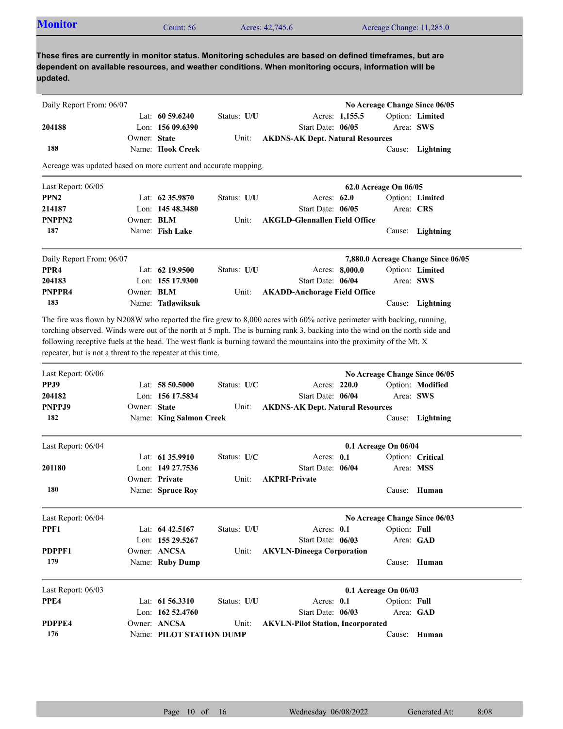| <b>Monitor</b>                                                                                                                                                                                                                                                                                                                                                                                                                                                 |              | Count: 56               |             | Acres: 42,745.6                          |            |                                     |              | Acreage Change: 11,285.0           |
|----------------------------------------------------------------------------------------------------------------------------------------------------------------------------------------------------------------------------------------------------------------------------------------------------------------------------------------------------------------------------------------------------------------------------------------------------------------|--------------|-------------------------|-------------|------------------------------------------|------------|-------------------------------------|--------------|------------------------------------|
| These fires are currently in monitor status. Monitoring schedules are based on defined timeframes, but are<br>dependent on available resources, and weather conditions. When monitoring occurs, information will be<br>updated.                                                                                                                                                                                                                                |              |                         |             |                                          |            |                                     |              |                                    |
| Daily Report From: 06/07                                                                                                                                                                                                                                                                                                                                                                                                                                       |              |                         |             |                                          |            |                                     |              | No Acreage Change Since 06/05      |
|                                                                                                                                                                                                                                                                                                                                                                                                                                                                |              | Lat: $60\,59.6240$      | Status: U/U |                                          |            | Acres: 1,155.5                      |              | Option: Limited                    |
| 204188                                                                                                                                                                                                                                                                                                                                                                                                                                                         |              | Lon: $15609.6390$       |             | Start Date: 06/05                        |            |                                     |              | Area: SWS                          |
|                                                                                                                                                                                                                                                                                                                                                                                                                                                                | Owner: State |                         | Unit:       | <b>AKDNS-AK Dept. Natural Resources</b>  |            |                                     |              |                                    |
| 188                                                                                                                                                                                                                                                                                                                                                                                                                                                            |              | Name: Hook Creek        |             |                                          |            |                                     |              | Cause: Lightning                   |
| Acreage was updated based on more current and accurate mapping.                                                                                                                                                                                                                                                                                                                                                                                                |              |                         |             |                                          |            |                                     |              |                                    |
| Last Report: 06/05                                                                                                                                                                                                                                                                                                                                                                                                                                             |              |                         |             |                                          |            | 62.0 Acreage On 06/05               |              |                                    |
| PPN <sub>2</sub>                                                                                                                                                                                                                                                                                                                                                                                                                                               |              | Lat: $62\,35.9870$      | Status: U/U |                                          |            | Acres: $62.0$                       |              | Option: Limited                    |
| 214187                                                                                                                                                                                                                                                                                                                                                                                                                                                         |              | Lon: $14548.3480$       |             | Start Date: 06/05                        |            |                                     |              | Area: CRS                          |
| PNPPN <sub>2</sub>                                                                                                                                                                                                                                                                                                                                                                                                                                             | Owner: BLM   |                         | Unit:       | <b>AKGLD-Glennallen Field Office</b>     |            |                                     |              |                                    |
| 187                                                                                                                                                                                                                                                                                                                                                                                                                                                            |              | Name: Fish Lake         |             |                                          |            |                                     |              | Cause: Lightning                   |
|                                                                                                                                                                                                                                                                                                                                                                                                                                                                |              |                         |             |                                          |            |                                     |              |                                    |
| Daily Report From: 06/07                                                                                                                                                                                                                                                                                                                                                                                                                                       |              |                         |             |                                          |            |                                     |              | 7,880.0 Acreage Change Since 06/05 |
| PPR <sub>4</sub>                                                                                                                                                                                                                                                                                                                                                                                                                                               |              | Lat: 62 19.9500         | Status: U/U |                                          |            | Acres: 8,000.0                      |              | Option: Limited                    |
|                                                                                                                                                                                                                                                                                                                                                                                                                                                                |              | Lon: 155 17.9300        |             | Start Date: 06/04                        |            |                                     |              | Area: SWS                          |
| 204183                                                                                                                                                                                                                                                                                                                                                                                                                                                         |              |                         |             |                                          |            | <b>AKADD-Anchorage Field Office</b> |              |                                    |
|                                                                                                                                                                                                                                                                                                                                                                                                                                                                | Owner: BLM   |                         | Unit:       |                                          |            |                                     |              |                                    |
| PNPPR4<br>183<br>The fire was flown by N208W who reported the fire grew to 8,000 acres with 60% active perimeter with backing, running,<br>torching observed. Winds were out of the north at 5 mph. The is burning rank 3, backing into the wind on the north side and<br>following receptive fuels at the head. The west flank is burning toward the mountains into the proximity of the Mt. X<br>repeater, but is not a threat to the repeater at this time. |              | Name: Tatlawiksuk       |             |                                          |            |                                     |              | Cause: Lightning                   |
| Last Report: 06/06                                                                                                                                                                                                                                                                                                                                                                                                                                             |              |                         |             |                                          |            |                                     |              | No Acreage Change Since 06/05      |
| PPJ9                                                                                                                                                                                                                                                                                                                                                                                                                                                           |              | Lat: $58\,50.5000$      | Status: U/C |                                          |            | Acres: 220.0                        |              | Option: Modified                   |
| 204182                                                                                                                                                                                                                                                                                                                                                                                                                                                         |              | Lon: 156 17.5834        |             | Start Date: 06/04                        |            |                                     |              | Area: SWS                          |
| PNPPJ9                                                                                                                                                                                                                                                                                                                                                                                                                                                         | Owner: State |                         | Unit:       | <b>AKDNS-AK Dept. Natural Resources</b>  |            |                                     |              |                                    |
| 182                                                                                                                                                                                                                                                                                                                                                                                                                                                            |              | Name: King Salmon Creek |             |                                          |            |                                     |              | Cause: Lightning                   |
| Last Report: 06/04                                                                                                                                                                                                                                                                                                                                                                                                                                             |              |                         |             |                                          |            | 0.1 Acreage On 06/04                |              |                                    |
|                                                                                                                                                                                                                                                                                                                                                                                                                                                                |              | Lat: 61 35.9910         | Status: U/C |                                          | Acres: 0.1 |                                     |              | Option: Critical                   |
| 201180                                                                                                                                                                                                                                                                                                                                                                                                                                                         |              | Lon: 149 27,7536        |             | Start Date: 06/04                        |            |                                     |              | Area: MSS                          |
|                                                                                                                                                                                                                                                                                                                                                                                                                                                                |              | Owner: Private          | Unit:       | <b>AKPRI-Private</b>                     |            |                                     |              |                                    |
| 180                                                                                                                                                                                                                                                                                                                                                                                                                                                            |              | Name: Spruce Roy        |             |                                          |            |                                     |              | Cause: Human                       |
| Last Report: 06/04                                                                                                                                                                                                                                                                                                                                                                                                                                             |              |                         |             |                                          |            |                                     |              | No Acreage Change Since 06/03      |
|                                                                                                                                                                                                                                                                                                                                                                                                                                                                |              | Lat: 64 42.5167         | Status: U/U |                                          | Acres: 0.1 |                                     | Option: Full |                                    |
| PPF1                                                                                                                                                                                                                                                                                                                                                                                                                                                           |              | Lon: 155 29.5267        |             | Start Date: 06/03                        |            |                                     |              | Area: GAD                          |
|                                                                                                                                                                                                                                                                                                                                                                                                                                                                |              | Owner: ANCSA            | Unit:       | <b>AKVLN-Dineega Corporation</b>         |            |                                     |              |                                    |
| PDPPF1<br>179                                                                                                                                                                                                                                                                                                                                                                                                                                                  |              | Name: Ruby Dump         |             |                                          |            |                                     |              | Cause: Human                       |
| Last Report: 06/03                                                                                                                                                                                                                                                                                                                                                                                                                                             |              |                         |             |                                          |            | 0.1 Acreage On 06/03                |              |                                    |
| PPE4                                                                                                                                                                                                                                                                                                                                                                                                                                                           |              | Lat: $61\,56.3310$      | Status: U/U |                                          | Acres: 0.1 |                                     | Option: Full |                                    |
|                                                                                                                                                                                                                                                                                                                                                                                                                                                                |              | Lon: $16252.4760$       |             | Start Date: 06/03                        |            |                                     |              | Area: GAD                          |
| PDPPE4                                                                                                                                                                                                                                                                                                                                                                                                                                                         |              | Owner: ANCSA            | Unit:       | <b>AKVLN-Pilot Station, Incorporated</b> |            |                                     |              |                                    |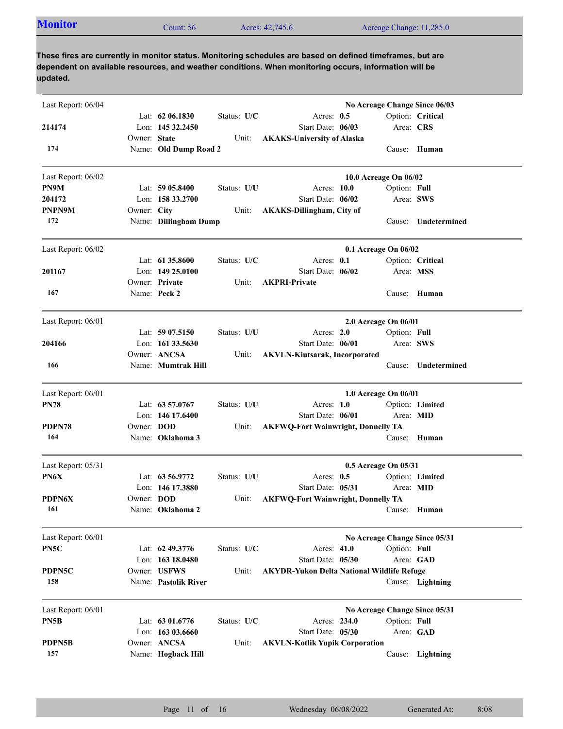| Acreage Change: 11,285.0<br>Acres: 42,745.6<br>Count: 56 | <b>Monitor</b> |
|----------------------------------------------------------|----------------|
|----------------------------------------------------------|----------------|

**These fires are currently in monitor status. Monitoring schedules are based on defined timeframes, but are dependent on available resources, and weather conditions. When monitoring occurs, information will be updated.**

| Last Report: 06/04 |              |                       |             |                                                   |                       | No Acreage Change Since 06/03 |
|--------------------|--------------|-----------------------|-------------|---------------------------------------------------|-----------------------|-------------------------------|
|                    |              | Lat: 62 06.1830       | Status: U/C | Acres: $0.5$                                      |                       | Option: Critical              |
| 214174             |              | Lon: 145 32.2450      |             | Start Date: 06/03                                 | Area: CRS             |                               |
|                    | Owner: State |                       | Unit:       | <b>AKAKS-University of Alaska</b>                 |                       |                               |
| 174                |              | Name: Old Dump Road 2 |             |                                                   |                       | Cause: Human                  |
| Last Report: 06/02 |              |                       |             |                                                   | 10.0 Acreage On 06/02 |                               |
| PN9M               |              | Lat: $5905.8400$      | Status: U/U | Acres: 10.0                                       | Option: Full          |                               |
| 204172             |              | Lon: 158 33.2700      |             | Start Date: 06/02                                 | Area: SWS             |                               |
| PNPN9M             | Owner: City  |                       | Unit:       | <b>AKAKS-Dillingham, City of</b>                  |                       |                               |
| 172                |              | Name: Dillingham Dump |             |                                                   | Cause:                | Undetermined                  |
| Last Report: 06/02 |              |                       |             |                                                   | 0.1 Acreage On 06/02  |                               |
|                    |              | Lat: 61 35,8600       | Status: U/C | Acres: 0.1                                        |                       | Option: Critical              |
| 201167             |              | Lon: $14925.0100$     |             | Start Date: 06/02                                 | Area: MSS             |                               |
|                    |              | Owner: Private        | Unit:       | <b>AKPRI-Private</b>                              |                       |                               |
| 167                |              | Name: Peck 2          |             |                                                   |                       | Cause: Human                  |
| Last Report: 06/01 |              |                       |             |                                                   | 2.0 Acreage On 06/01  |                               |
|                    |              | Lat: $5907.5150$      | Status: U/U | Acres: $2.0$                                      | Option: Full          |                               |
| 204166             |              | Lon: 161 33.5630      |             | Start Date: 06/01                                 | Area: SWS             |                               |
|                    |              | Owner: ANCSA          | Unit:       | <b>AKVLN-Kiutsarak, Incorporated</b>              |                       |                               |
| 166                |              | Name: Mumtrak Hill    |             |                                                   | Cause:                | Undetermined                  |
| Last Report: 06/01 |              |                       |             |                                                   | 1.0 Acreage On 06/01  |                               |
| <b>PN78</b>        |              | Lat: 63 57.0767       | Status: U/U | Acres: 1.0                                        |                       | Option: Limited               |
|                    |              | Lon: $146$ 17.6400    |             | Start Date: 06/01                                 | Area: MID             |                               |
| PDPN78             | Owner: DOD   |                       | Unit:       | <b>AKFWQ-Fort Wainwright, Donnelly TA</b>         |                       |                               |
| 164                |              | Name: Oklahoma 3      |             |                                                   |                       | Cause: Human                  |
| Last Report: 05/31 |              |                       |             |                                                   | 0.5 Acreage On 05/31  |                               |
| PN6X               |              | Lat: 63 56.9772       | Status: U/U | Acres: 0.5                                        |                       | Option: Limited               |
|                    |              | Lon: 146 17.3880      |             | Start Date: 05/31                                 | Area: MID             |                               |
| PDPN6X             | Owner: DOD   |                       | Unit:       | <b>AKFWQ-Fort Wainwright, Donnelly TA</b>         |                       |                               |
| 161                |              | Name: Oklahoma 2      |             |                                                   |                       | Cause: Human                  |
| Last Report: 06/01 |              |                       |             |                                                   |                       | No Acreage Change Since 05/31 |
| PN5C               |              | Lat: $62\,49.3776$    | Status: U/C | Acres: 41.0                                       | Option: Full          |                               |
|                    |              | Lon: 163 18.0480      |             | Start Date: 05/30                                 |                       | Area: GAD                     |
| PDPN5C             |              | Owner: USFWS          | Unit:       | <b>AKYDR-Yukon Delta National Wildlife Refuge</b> |                       |                               |
| 158                |              | Name: Pastolik River  |             |                                                   |                       | Cause: Lightning              |
| Last Report: 06/01 |              |                       |             |                                                   |                       | No Acreage Change Since 05/31 |
| PN5B               |              | Lat: 63 01.6776       | Status: U/C | Acres: 234.0                                      | Option: Full          |                               |
|                    |              | Lon: 163 03.6660      |             | Start Date: 05/30                                 | Area: GAD             |                               |
| PDPN5B             |              | Owner: ANCSA          | Unit:       | <b>AKVLN-Kotlik Yupik Corporation</b>             |                       |                               |
| 157                |              | Name: Hogback Hill    |             |                                                   |                       | Cause: Lightning              |
|                    |              |                       |             |                                                   |                       |                               |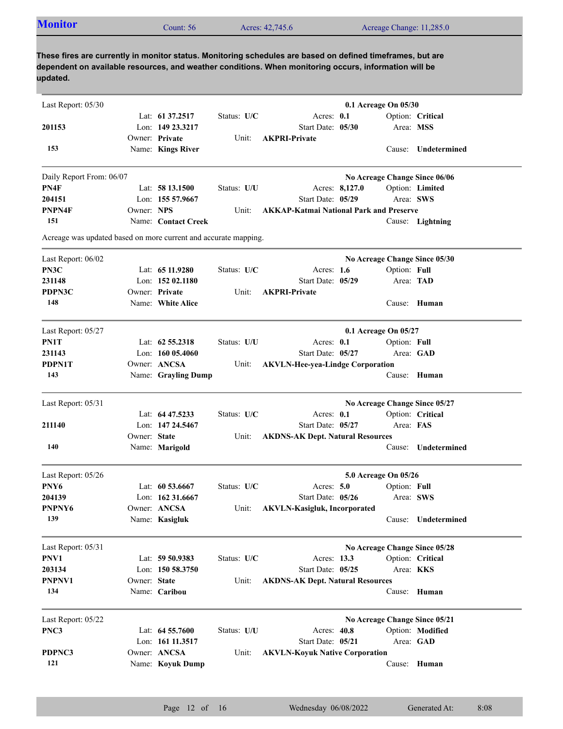| <b>Monitor</b>                                                  |              | Count: 56                          |             | Acres: 42,745.6                                                                                                                                                                                                     |                | Acreage Change: 11,285.0 |                               |
|-----------------------------------------------------------------|--------------|------------------------------------|-------------|---------------------------------------------------------------------------------------------------------------------------------------------------------------------------------------------------------------------|----------------|--------------------------|-------------------------------|
|                                                                 |              |                                    |             |                                                                                                                                                                                                                     |                |                          |                               |
|                                                                 |              |                                    |             | These fires are currently in monitor status. Monitoring schedules are based on defined timeframes, but are<br>dependent on available resources, and weather conditions. When monitoring occurs, information will be |                |                          |                               |
| updated.                                                        |              |                                    |             |                                                                                                                                                                                                                     |                |                          |                               |
|                                                                 |              |                                    |             |                                                                                                                                                                                                                     |                |                          |                               |
| Last Report: 05/30                                              |              |                                    |             |                                                                                                                                                                                                                     |                | 0.1 Acreage On 05/30     |                               |
|                                                                 |              | Lat: 61 37.2517                    | Status: U/C | Acres: 0.1                                                                                                                                                                                                          |                |                          | Option: Critical              |
| 201153                                                          |              | Lon: 149 23.3217<br>Owner: Private |             | Start Date: 05/30<br><b>AKPRI-Private</b>                                                                                                                                                                           |                |                          | Area: MSS                     |
| 153                                                             |              | Name: Kings River                  | Unit:       |                                                                                                                                                                                                                     |                |                          | Cause: Undetermined           |
|                                                                 |              |                                    |             |                                                                                                                                                                                                                     |                |                          |                               |
| Daily Report From: 06/07                                        |              |                                    |             |                                                                                                                                                                                                                     |                |                          | No Acreage Change Since 06/06 |
| PN4F                                                            |              | Lat: 58 13.1500                    | Status: U/U |                                                                                                                                                                                                                     | Acres: 8,127.0 |                          | Option: Limited               |
| 204151                                                          |              | Lon: 155 57.9667                   |             | Start Date: 05/29                                                                                                                                                                                                   |                |                          | Area: SWS                     |
| PNPN4F                                                          | Owner: NPS   |                                    | Unit:       | <b>AKKAP-Katmai National Park and Preserve</b>                                                                                                                                                                      |                |                          |                               |
| 151                                                             |              | Name: Contact Creek                |             |                                                                                                                                                                                                                     |                |                          | Cause: Lightning              |
| Acreage was updated based on more current and accurate mapping. |              |                                    |             |                                                                                                                                                                                                                     |                |                          |                               |
| Last Report: 06/02                                              |              |                                    |             |                                                                                                                                                                                                                     |                |                          | No Acreage Change Since 05/30 |
| PN3C                                                            |              | Lat: $6511.9280$                   | Status: U/C | Acres: $1.6$                                                                                                                                                                                                        |                | Option: Full             |                               |
| 231148                                                          |              | Lon: $15202.1180$                  |             | Start Date: 05/29                                                                                                                                                                                                   |                |                          | Area: TAD                     |
| PDPN3C                                                          |              | Owner: Private                     | Unit:       | <b>AKPRI-Private</b>                                                                                                                                                                                                |                |                          |                               |
| 148                                                             |              | Name: White Alice                  |             |                                                                                                                                                                                                                     |                |                          | Cause: Human                  |
| Last Report: 05/27                                              |              |                                    |             |                                                                                                                                                                                                                     |                | 0.1 Acreage On 05/27     |                               |
| PN1T                                                            |              | Lat: 62 55.2318                    | Status: U/U | Acres: 0.1                                                                                                                                                                                                          |                | Option: Full             |                               |
| 231143                                                          |              | Lon: $16005.4060$                  |             | Start Date: 05/27                                                                                                                                                                                                   |                |                          | Area: GAD                     |
| PDPN1T                                                          |              | Owner: ANCSA                       | Unit:       | <b>AKVLN-Hee-yea-Lindge Corporation</b>                                                                                                                                                                             |                |                          |                               |
| 143                                                             |              | Name: Grayling Dump                |             |                                                                                                                                                                                                                     |                |                          | Cause: Human                  |
| Last Report: 05/31                                              |              |                                    |             |                                                                                                                                                                                                                     |                |                          | No Acreage Change Since 05/27 |
|                                                                 |              | Lat: 64 47.5233                    | Status: U/C | Acres: 0.1                                                                                                                                                                                                          |                |                          | Option: Critical              |
| 211140                                                          |              | Lon: 147 24.5467                   |             | Start Date: 05/27                                                                                                                                                                                                   |                | Area: FAS                |                               |
|                                                                 | Owner: State |                                    | Unit:       | <b>AKDNS-AK Dept. Natural Resources</b>                                                                                                                                                                             |                |                          |                               |
| 140                                                             |              | Name: Marigold                     |             |                                                                                                                                                                                                                     |                |                          | Cause: Undetermined           |
| Last Report: 05/26                                              |              |                                    |             |                                                                                                                                                                                                                     |                | 5.0 Acreage On 05/26     |                               |
| PNY6                                                            |              | Lat: 60 53.6667                    | Status: U/C | Acres: 5.0                                                                                                                                                                                                          |                | Option: Full             |                               |
| 204139                                                          |              | Lon: 162 31.6667                   |             | Start Date: 05/26                                                                                                                                                                                                   |                |                          | Area: SWS                     |
| PNPNY6                                                          |              | Owner: ANCSA                       | Unit:       | <b>AKVLN-Kasigluk, Incorporated</b>                                                                                                                                                                                 |                |                          |                               |
| 139                                                             |              | Name: Kasigluk                     |             |                                                                                                                                                                                                                     |                |                          | Cause: Undetermined           |
| Last Report: 05/31                                              |              |                                    |             |                                                                                                                                                                                                                     |                |                          | No Acreage Change Since 05/28 |
| PNV1                                                            |              | Lat: 59 50.9383                    | Status: U/C | Acres: 13.3                                                                                                                                                                                                         |                |                          | Option: Critical              |
| 203134                                                          |              | Lon: 150 58.3750                   |             | Start Date: 05/25                                                                                                                                                                                                   |                |                          | Area: KKS                     |
|                                                                 |              |                                    |             |                                                                                                                                                                                                                     |                |                          |                               |

| Last Report: $05/22$ |                    |             |                                       | No Acreage Change Since 05/21 |                  |
|----------------------|--------------------|-------------|---------------------------------------|-------------------------------|------------------|
| PNC3                 | Lat: $64\,55.7600$ | Status: U/U | Acres: $40.8$                         |                               | Option: Modified |
|                      | Lon: 161 11.3517   |             | Start Date: $05/21$                   |                               | Area: GAD        |
| PDPNC3               | Owner: ANCSA       | Unit:       | <b>AKVLN-Kovuk Native Corporation</b> |                               |                  |
| 121                  | Name: Koyuk Dump   |             |                                       | Cause:                        | Human            |

Name: **Caribou**

Owner: State

**134**

**PNPNV1**

**State AKDNS-AK Dept. Natural Resources**

Cause: **Human**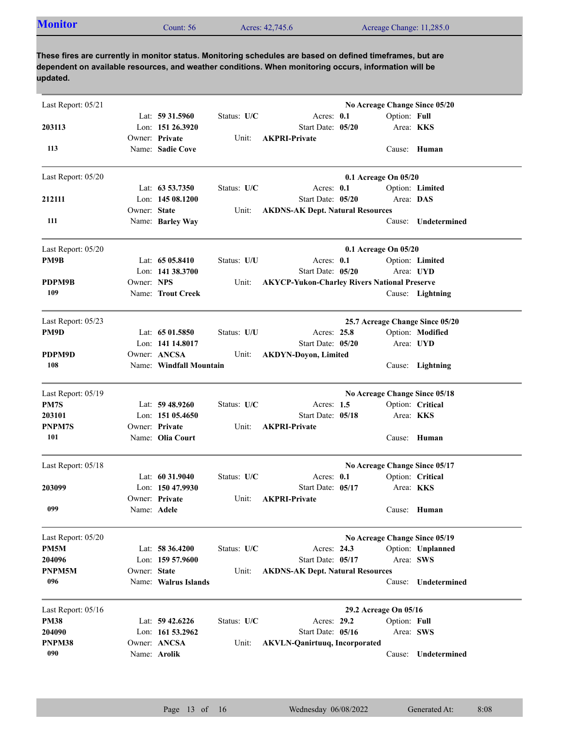| <b>Monitor</b> | Count: $56$ | Acres: 42,745.6 | Acreage Change: 11,285.0 |
|----------------|-------------|-----------------|--------------------------|
|                |             |                 |                          |

**These fires are currently in monitor status. Monitoring schedules are based on defined timeframes, but are dependent on available resources, and weather conditions. When monitoring occurs, information will be updated.**

| No Acreage Change Since 05/20<br>Lat: 59 31.5960<br>Status: U/C<br>Acres: 0.1<br>Option: Full<br>Lon: 151 26.3920<br>Start Date: 05/20<br>Area: <b>KKS</b><br>Owner: Private<br><b>AKPRI-Private</b><br>Unit:<br>Name: Sadie Cove<br>113<br>Cause: Human<br>Last Report: 05/20<br>0.1 Acreage On 05/20<br>Lat: $63\,53.7350$<br>Status: U/C<br>Acres: $0.1$<br>Option: Limited<br>Lon: $14508.1200$<br>Area: DAS<br>Start Date: 05/20<br>Owner: State<br><b>AKDNS-AK Dept. Natural Resources</b><br>Unit:<br>111<br>Name: Barley Way<br>Undetermined<br>Cause:<br>Last Report: 05/20<br>0.1 Acreage On 05/20<br>Lat: $6505.8410$<br>Status: U/U<br>Acres: 0.1<br>Option: Limited<br>Lon: 141 38.3700<br>Start Date: 05/20<br>Area: UYD<br>Owner: NPS<br><b>AKYCP-Yukon-Charley Rivers National Preserve</b><br>Unit:<br>109<br>Name: Trout Creek<br>Cause: Lightning<br>Last Report: 05/23<br>25.7 Acreage Change Since 05/20<br>Lat: $6501.5850$<br>Status: U/U<br>Acres: 25.8<br>Option: Modified<br>Lon: 141 14.8017<br>Start Date: 05/20<br>Area: UYD<br>Owner: ANCSA<br>Unit:<br><b>AKDYN-Doyon, Limited</b><br>108<br>Name: Windfall Mountain<br>Cause: Lightning<br>No Acreage Change Since 05/18<br>Lat: $59\,48.9260$<br>Status: U/C<br>Acres: 1.5<br>Option: Critical<br>Area: KKS<br>Lon: $15105.4650$<br>Start Date: 05/18<br><b>AKPRI-Private</b><br>Owner: Private<br>Unit:<br>101<br>Name: Olia Court<br>Cause: Human<br>No Acreage Change Since 05/17<br>Option: Critical<br>Lat: $60\,31.9040$<br>Status: U/C<br>Acres: $0.1$<br>Lon: $15047.9930$<br>Start Date: 05/17<br>Area: <b>KKS</b><br>Owner: Private<br>Unit:<br><b>AKPRI-Private</b><br>099<br>Name: Adele<br>Cause: Human<br>No Acreage Change Since 05/19<br>Lat: 58 36.4200<br>Status: U/C<br>Acres: 24.3<br>Option: Unplanned<br>Lon: 159 57.9600<br>Start Date: 05/17<br>Area: SWS<br>Owner: State<br>Unit:<br><b>AKDNS-AK Dept. Natural Resources</b><br>096<br>Name: Walrus Islands<br>Cause: Undetermined<br>29.2 Acreage On 05/16<br>Lat: 59 42.6226<br>Status: U/C<br>Acres: 29.2<br>Option: Full<br>Lon: 161 53.2962<br>Start Date: 05/16<br>Area: SWS<br>Owner: ANCSA<br>Unit:<br><b>AKVLN-Qanirtuuq, Incorporated</b><br>090<br>Name: Arolik<br>Undetermined<br>Cause: |                    |  |  |  |
|----------------------------------------------------------------------------------------------------------------------------------------------------------------------------------------------------------------------------------------------------------------------------------------------------------------------------------------------------------------------------------------------------------------------------------------------------------------------------------------------------------------------------------------------------------------------------------------------------------------------------------------------------------------------------------------------------------------------------------------------------------------------------------------------------------------------------------------------------------------------------------------------------------------------------------------------------------------------------------------------------------------------------------------------------------------------------------------------------------------------------------------------------------------------------------------------------------------------------------------------------------------------------------------------------------------------------------------------------------------------------------------------------------------------------------------------------------------------------------------------------------------------------------------------------------------------------------------------------------------------------------------------------------------------------------------------------------------------------------------------------------------------------------------------------------------------------------------------------------------------------------------------------------------------------------------------------------------------------------------------------------------------------------------------------------------------------------------------------------------------------------------------------------------------------------------------------------------------------------------------------------------|--------------------|--|--|--|
|                                                                                                                                                                                                                                                                                                                                                                                                                                                                                                                                                                                                                                                                                                                                                                                                                                                                                                                                                                                                                                                                                                                                                                                                                                                                                                                                                                                                                                                                                                                                                                                                                                                                                                                                                                                                                                                                                                                                                                                                                                                                                                                                                                                                                                                                | Last Report: 05/21 |  |  |  |
|                                                                                                                                                                                                                                                                                                                                                                                                                                                                                                                                                                                                                                                                                                                                                                                                                                                                                                                                                                                                                                                                                                                                                                                                                                                                                                                                                                                                                                                                                                                                                                                                                                                                                                                                                                                                                                                                                                                                                                                                                                                                                                                                                                                                                                                                |                    |  |  |  |
|                                                                                                                                                                                                                                                                                                                                                                                                                                                                                                                                                                                                                                                                                                                                                                                                                                                                                                                                                                                                                                                                                                                                                                                                                                                                                                                                                                                                                                                                                                                                                                                                                                                                                                                                                                                                                                                                                                                                                                                                                                                                                                                                                                                                                                                                | 203113             |  |  |  |
|                                                                                                                                                                                                                                                                                                                                                                                                                                                                                                                                                                                                                                                                                                                                                                                                                                                                                                                                                                                                                                                                                                                                                                                                                                                                                                                                                                                                                                                                                                                                                                                                                                                                                                                                                                                                                                                                                                                                                                                                                                                                                                                                                                                                                                                                |                    |  |  |  |
|                                                                                                                                                                                                                                                                                                                                                                                                                                                                                                                                                                                                                                                                                                                                                                                                                                                                                                                                                                                                                                                                                                                                                                                                                                                                                                                                                                                                                                                                                                                                                                                                                                                                                                                                                                                                                                                                                                                                                                                                                                                                                                                                                                                                                                                                |                    |  |  |  |
|                                                                                                                                                                                                                                                                                                                                                                                                                                                                                                                                                                                                                                                                                                                                                                                                                                                                                                                                                                                                                                                                                                                                                                                                                                                                                                                                                                                                                                                                                                                                                                                                                                                                                                                                                                                                                                                                                                                                                                                                                                                                                                                                                                                                                                                                |                    |  |  |  |
|                                                                                                                                                                                                                                                                                                                                                                                                                                                                                                                                                                                                                                                                                                                                                                                                                                                                                                                                                                                                                                                                                                                                                                                                                                                                                                                                                                                                                                                                                                                                                                                                                                                                                                                                                                                                                                                                                                                                                                                                                                                                                                                                                                                                                                                                |                    |  |  |  |
|                                                                                                                                                                                                                                                                                                                                                                                                                                                                                                                                                                                                                                                                                                                                                                                                                                                                                                                                                                                                                                                                                                                                                                                                                                                                                                                                                                                                                                                                                                                                                                                                                                                                                                                                                                                                                                                                                                                                                                                                                                                                                                                                                                                                                                                                | 212111             |  |  |  |
|                                                                                                                                                                                                                                                                                                                                                                                                                                                                                                                                                                                                                                                                                                                                                                                                                                                                                                                                                                                                                                                                                                                                                                                                                                                                                                                                                                                                                                                                                                                                                                                                                                                                                                                                                                                                                                                                                                                                                                                                                                                                                                                                                                                                                                                                |                    |  |  |  |
|                                                                                                                                                                                                                                                                                                                                                                                                                                                                                                                                                                                                                                                                                                                                                                                                                                                                                                                                                                                                                                                                                                                                                                                                                                                                                                                                                                                                                                                                                                                                                                                                                                                                                                                                                                                                                                                                                                                                                                                                                                                                                                                                                                                                                                                                |                    |  |  |  |
|                                                                                                                                                                                                                                                                                                                                                                                                                                                                                                                                                                                                                                                                                                                                                                                                                                                                                                                                                                                                                                                                                                                                                                                                                                                                                                                                                                                                                                                                                                                                                                                                                                                                                                                                                                                                                                                                                                                                                                                                                                                                                                                                                                                                                                                                |                    |  |  |  |
|                                                                                                                                                                                                                                                                                                                                                                                                                                                                                                                                                                                                                                                                                                                                                                                                                                                                                                                                                                                                                                                                                                                                                                                                                                                                                                                                                                                                                                                                                                                                                                                                                                                                                                                                                                                                                                                                                                                                                                                                                                                                                                                                                                                                                                                                | PM9B               |  |  |  |
|                                                                                                                                                                                                                                                                                                                                                                                                                                                                                                                                                                                                                                                                                                                                                                                                                                                                                                                                                                                                                                                                                                                                                                                                                                                                                                                                                                                                                                                                                                                                                                                                                                                                                                                                                                                                                                                                                                                                                                                                                                                                                                                                                                                                                                                                |                    |  |  |  |
|                                                                                                                                                                                                                                                                                                                                                                                                                                                                                                                                                                                                                                                                                                                                                                                                                                                                                                                                                                                                                                                                                                                                                                                                                                                                                                                                                                                                                                                                                                                                                                                                                                                                                                                                                                                                                                                                                                                                                                                                                                                                                                                                                                                                                                                                | PDPM9B             |  |  |  |
|                                                                                                                                                                                                                                                                                                                                                                                                                                                                                                                                                                                                                                                                                                                                                                                                                                                                                                                                                                                                                                                                                                                                                                                                                                                                                                                                                                                                                                                                                                                                                                                                                                                                                                                                                                                                                                                                                                                                                                                                                                                                                                                                                                                                                                                                |                    |  |  |  |
|                                                                                                                                                                                                                                                                                                                                                                                                                                                                                                                                                                                                                                                                                                                                                                                                                                                                                                                                                                                                                                                                                                                                                                                                                                                                                                                                                                                                                                                                                                                                                                                                                                                                                                                                                                                                                                                                                                                                                                                                                                                                                                                                                                                                                                                                |                    |  |  |  |
|                                                                                                                                                                                                                                                                                                                                                                                                                                                                                                                                                                                                                                                                                                                                                                                                                                                                                                                                                                                                                                                                                                                                                                                                                                                                                                                                                                                                                                                                                                                                                                                                                                                                                                                                                                                                                                                                                                                                                                                                                                                                                                                                                                                                                                                                | PM9D               |  |  |  |
|                                                                                                                                                                                                                                                                                                                                                                                                                                                                                                                                                                                                                                                                                                                                                                                                                                                                                                                                                                                                                                                                                                                                                                                                                                                                                                                                                                                                                                                                                                                                                                                                                                                                                                                                                                                                                                                                                                                                                                                                                                                                                                                                                                                                                                                                |                    |  |  |  |
|                                                                                                                                                                                                                                                                                                                                                                                                                                                                                                                                                                                                                                                                                                                                                                                                                                                                                                                                                                                                                                                                                                                                                                                                                                                                                                                                                                                                                                                                                                                                                                                                                                                                                                                                                                                                                                                                                                                                                                                                                                                                                                                                                                                                                                                                | PDPM9D             |  |  |  |
|                                                                                                                                                                                                                                                                                                                                                                                                                                                                                                                                                                                                                                                                                                                                                                                                                                                                                                                                                                                                                                                                                                                                                                                                                                                                                                                                                                                                                                                                                                                                                                                                                                                                                                                                                                                                                                                                                                                                                                                                                                                                                                                                                                                                                                                                |                    |  |  |  |
|                                                                                                                                                                                                                                                                                                                                                                                                                                                                                                                                                                                                                                                                                                                                                                                                                                                                                                                                                                                                                                                                                                                                                                                                                                                                                                                                                                                                                                                                                                                                                                                                                                                                                                                                                                                                                                                                                                                                                                                                                                                                                                                                                                                                                                                                | Last Report: 05/19 |  |  |  |
|                                                                                                                                                                                                                                                                                                                                                                                                                                                                                                                                                                                                                                                                                                                                                                                                                                                                                                                                                                                                                                                                                                                                                                                                                                                                                                                                                                                                                                                                                                                                                                                                                                                                                                                                                                                                                                                                                                                                                                                                                                                                                                                                                                                                                                                                | PM7S               |  |  |  |
|                                                                                                                                                                                                                                                                                                                                                                                                                                                                                                                                                                                                                                                                                                                                                                                                                                                                                                                                                                                                                                                                                                                                                                                                                                                                                                                                                                                                                                                                                                                                                                                                                                                                                                                                                                                                                                                                                                                                                                                                                                                                                                                                                                                                                                                                | 203101             |  |  |  |
|                                                                                                                                                                                                                                                                                                                                                                                                                                                                                                                                                                                                                                                                                                                                                                                                                                                                                                                                                                                                                                                                                                                                                                                                                                                                                                                                                                                                                                                                                                                                                                                                                                                                                                                                                                                                                                                                                                                                                                                                                                                                                                                                                                                                                                                                | PNPM7S             |  |  |  |
|                                                                                                                                                                                                                                                                                                                                                                                                                                                                                                                                                                                                                                                                                                                                                                                                                                                                                                                                                                                                                                                                                                                                                                                                                                                                                                                                                                                                                                                                                                                                                                                                                                                                                                                                                                                                                                                                                                                                                                                                                                                                                                                                                                                                                                                                |                    |  |  |  |
|                                                                                                                                                                                                                                                                                                                                                                                                                                                                                                                                                                                                                                                                                                                                                                                                                                                                                                                                                                                                                                                                                                                                                                                                                                                                                                                                                                                                                                                                                                                                                                                                                                                                                                                                                                                                                                                                                                                                                                                                                                                                                                                                                                                                                                                                | Last Report: 05/18 |  |  |  |
|                                                                                                                                                                                                                                                                                                                                                                                                                                                                                                                                                                                                                                                                                                                                                                                                                                                                                                                                                                                                                                                                                                                                                                                                                                                                                                                                                                                                                                                                                                                                                                                                                                                                                                                                                                                                                                                                                                                                                                                                                                                                                                                                                                                                                                                                |                    |  |  |  |
|                                                                                                                                                                                                                                                                                                                                                                                                                                                                                                                                                                                                                                                                                                                                                                                                                                                                                                                                                                                                                                                                                                                                                                                                                                                                                                                                                                                                                                                                                                                                                                                                                                                                                                                                                                                                                                                                                                                                                                                                                                                                                                                                                                                                                                                                | 203099             |  |  |  |
|                                                                                                                                                                                                                                                                                                                                                                                                                                                                                                                                                                                                                                                                                                                                                                                                                                                                                                                                                                                                                                                                                                                                                                                                                                                                                                                                                                                                                                                                                                                                                                                                                                                                                                                                                                                                                                                                                                                                                                                                                                                                                                                                                                                                                                                                |                    |  |  |  |
|                                                                                                                                                                                                                                                                                                                                                                                                                                                                                                                                                                                                                                                                                                                                                                                                                                                                                                                                                                                                                                                                                                                                                                                                                                                                                                                                                                                                                                                                                                                                                                                                                                                                                                                                                                                                                                                                                                                                                                                                                                                                                                                                                                                                                                                                |                    |  |  |  |
|                                                                                                                                                                                                                                                                                                                                                                                                                                                                                                                                                                                                                                                                                                                                                                                                                                                                                                                                                                                                                                                                                                                                                                                                                                                                                                                                                                                                                                                                                                                                                                                                                                                                                                                                                                                                                                                                                                                                                                                                                                                                                                                                                                                                                                                                | Last Report: 05/20 |  |  |  |
|                                                                                                                                                                                                                                                                                                                                                                                                                                                                                                                                                                                                                                                                                                                                                                                                                                                                                                                                                                                                                                                                                                                                                                                                                                                                                                                                                                                                                                                                                                                                                                                                                                                                                                                                                                                                                                                                                                                                                                                                                                                                                                                                                                                                                                                                | PM5M               |  |  |  |
|                                                                                                                                                                                                                                                                                                                                                                                                                                                                                                                                                                                                                                                                                                                                                                                                                                                                                                                                                                                                                                                                                                                                                                                                                                                                                                                                                                                                                                                                                                                                                                                                                                                                                                                                                                                                                                                                                                                                                                                                                                                                                                                                                                                                                                                                | 204096             |  |  |  |
|                                                                                                                                                                                                                                                                                                                                                                                                                                                                                                                                                                                                                                                                                                                                                                                                                                                                                                                                                                                                                                                                                                                                                                                                                                                                                                                                                                                                                                                                                                                                                                                                                                                                                                                                                                                                                                                                                                                                                                                                                                                                                                                                                                                                                                                                | PNPM5M             |  |  |  |
|                                                                                                                                                                                                                                                                                                                                                                                                                                                                                                                                                                                                                                                                                                                                                                                                                                                                                                                                                                                                                                                                                                                                                                                                                                                                                                                                                                                                                                                                                                                                                                                                                                                                                                                                                                                                                                                                                                                                                                                                                                                                                                                                                                                                                                                                |                    |  |  |  |
|                                                                                                                                                                                                                                                                                                                                                                                                                                                                                                                                                                                                                                                                                                                                                                                                                                                                                                                                                                                                                                                                                                                                                                                                                                                                                                                                                                                                                                                                                                                                                                                                                                                                                                                                                                                                                                                                                                                                                                                                                                                                                                                                                                                                                                                                | Last Report: 05/16 |  |  |  |
|                                                                                                                                                                                                                                                                                                                                                                                                                                                                                                                                                                                                                                                                                                                                                                                                                                                                                                                                                                                                                                                                                                                                                                                                                                                                                                                                                                                                                                                                                                                                                                                                                                                                                                                                                                                                                                                                                                                                                                                                                                                                                                                                                                                                                                                                | <b>PM38</b>        |  |  |  |
|                                                                                                                                                                                                                                                                                                                                                                                                                                                                                                                                                                                                                                                                                                                                                                                                                                                                                                                                                                                                                                                                                                                                                                                                                                                                                                                                                                                                                                                                                                                                                                                                                                                                                                                                                                                                                                                                                                                                                                                                                                                                                                                                                                                                                                                                | 204090             |  |  |  |
|                                                                                                                                                                                                                                                                                                                                                                                                                                                                                                                                                                                                                                                                                                                                                                                                                                                                                                                                                                                                                                                                                                                                                                                                                                                                                                                                                                                                                                                                                                                                                                                                                                                                                                                                                                                                                                                                                                                                                                                                                                                                                                                                                                                                                                                                | PNPM38             |  |  |  |
|                                                                                                                                                                                                                                                                                                                                                                                                                                                                                                                                                                                                                                                                                                                                                                                                                                                                                                                                                                                                                                                                                                                                                                                                                                                                                                                                                                                                                                                                                                                                                                                                                                                                                                                                                                                                                                                                                                                                                                                                                                                                                                                                                                                                                                                                |                    |  |  |  |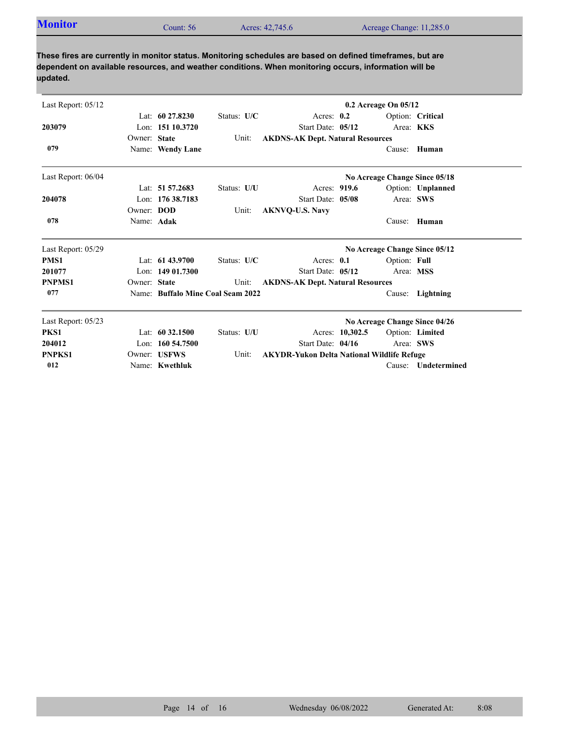| <b>Monitor</b> | Count: $56$ | Acres: 42,745.6 | Acreage Change: 11,285.0 |
|----------------|-------------|-----------------|--------------------------|
|                |             |                 |                          |

**These fires are currently in monitor status. Monitoring schedules are based on defined timeframes, but are dependent on available resources, and weather conditions. When monitoring occurs, information will be updated.**

| Last Report: 05/12 |              |                     |                                   |                                                   |                 | 0.2 Acreage On 05/12 |                               |
|--------------------|--------------|---------------------|-----------------------------------|---------------------------------------------------|-----------------|----------------------|-------------------------------|
|                    |              | Lat: $60\,27.8230$  | Status: U/C                       | Acres: $0.2$                                      |                 |                      | Option: Critical              |
| 203079             |              | Lon: 151 10.3720    |                                   | Start Date: 05/12                                 |                 |                      | Area: KKS                     |
|                    | Owner: State |                     | Unit:                             | <b>AKDNS-AK Dept. Natural Resources</b>           |                 |                      |                               |
| 079                |              | Name: Wendy Lane    |                                   |                                                   |                 | Cause:               | Human                         |
| Last Report: 06/04 |              |                     |                                   |                                                   |                 |                      | No Acreage Change Since 05/18 |
|                    |              | Lat: $51\,57.2683$  | Status: U/U                       | Acres: 919.6                                      |                 |                      | Option: Unplanned             |
| 204078             |              | Lon: 176 38.7183    |                                   | Start Date: 05/08                                 |                 |                      | Area: SWS                     |
|                    | Owner: DOD   |                     | Unit:                             | <b>AKNVQ-U.S. Navy</b>                            |                 |                      |                               |
| 078                | Name: Adak   |                     |                                   |                                                   |                 |                      | Cause: Human                  |
| Last Report: 05/29 |              |                     |                                   |                                                   |                 |                      | No Acreage Change Since 05/12 |
| PMS1               |              | Lat: $6143.9700$    | Status: U/C                       | Acres: 0.1                                        |                 | Option: Full         |                               |
| 201077             |              | Lon: $14901.7300$   |                                   | Start Date: 05/12                                 |                 |                      | Area: MSS                     |
| <b>PNPMS1</b>      | Owner: State |                     | Unit:                             | <b>AKDNS-AK Dept. Natural Resources</b>           |                 |                      |                               |
| 077                |              |                     | Name: Buffalo Mine Coal Seam 2022 |                                                   |                 | Cause:               | Lightning                     |
| Last Report: 05/23 |              |                     |                                   |                                                   |                 |                      | No Acreage Change Since 04/26 |
| PKS1               |              | Lat: $60\,32.1500$  | Status: U/U                       |                                                   | Acres: 10,302.5 |                      | Option: Limited               |
| 204012             |              | Lon: $160\,54.7500$ |                                   | Start Date: 04/16                                 |                 |                      | Area: SWS                     |
| <b>PNPKS1</b>      |              | Owner: USFWS        | Unit:                             | <b>AKYDR-Yukon Delta National Wildlife Refuge</b> |                 |                      |                               |
| 012                |              | Name: Kwethluk      |                                   |                                                   |                 | Cause:               | Undetermined                  |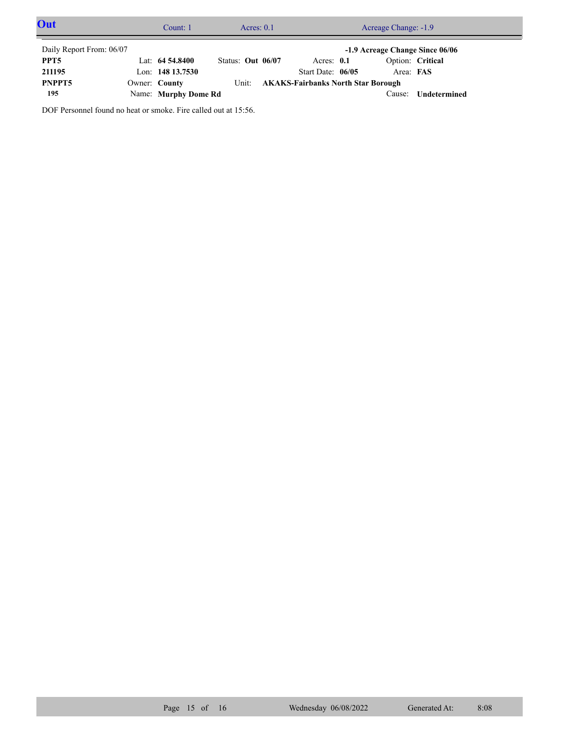| Out                                                         |  | Count: 1             | Acres: $0.1$      |       | Acreage Change: -1.9 |                                           |  |           |                  |  |
|-------------------------------------------------------------|--|----------------------|-------------------|-------|----------------------|-------------------------------------------|--|-----------|------------------|--|
| Daily Report From: 06/07<br>-1.9 Acreage Change Since 06/06 |  |                      |                   |       |                      |                                           |  |           |                  |  |
| PPT5                                                        |  | Lat: $64\,54.8400$   | Status: Out 06/07 |       |                      | Acres: $0.1$                              |  |           | Option: Critical |  |
| 211195                                                      |  | Lon: $14813.7530$    |                   |       |                      | Start Date: 06/05                         |  | Area: FAS |                  |  |
| PNPPT5                                                      |  | Owner: County        |                   | Unit: |                      | <b>AKAKS-Fairbanks North Star Borough</b> |  |           |                  |  |
| 195                                                         |  | Name: Murphy Dome Rd |                   |       |                      |                                           |  | Cause:    | Undetermined     |  |

DOF Personnel found no heat or smoke. Fire called out at 15:56.